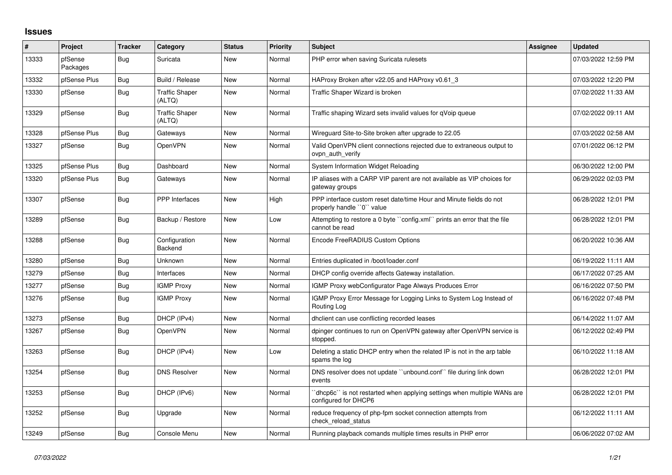## **Issues**

| #     | Project             | <b>Tracker</b> | Category                        | <b>Status</b> | <b>Priority</b> | <b>Subject</b>                                                                                   | Assignee | <b>Updated</b>      |
|-------|---------------------|----------------|---------------------------------|---------------|-----------------|--------------------------------------------------------------------------------------------------|----------|---------------------|
| 13333 | pfSense<br>Packages | Bug            | Suricata                        | New           | Normal          | PHP error when saving Suricata rulesets                                                          |          | 07/03/2022 12:59 PM |
| 13332 | pfSense Plus        | <b>Bug</b>     | Build / Release                 | New           | Normal          | HAProxy Broken after v22.05 and HAProxy v0.61 3                                                  |          | 07/03/2022 12:20 PM |
| 13330 | pfSense             | Bug            | <b>Traffic Shaper</b><br>(ALTQ) | New           | Normal          | Traffic Shaper Wizard is broken                                                                  |          | 07/02/2022 11:33 AM |
| 13329 | pfSense             | <b>Bug</b>     | <b>Traffic Shaper</b><br>(ALTQ) | <b>New</b>    | Normal          | Traffic shaping Wizard sets invalid values for qVoip queue                                       |          | 07/02/2022 09:11 AM |
| 13328 | pfSense Plus        | <b>Bug</b>     | Gateways                        | New           | Normal          | Wireguard Site-to-Site broken after upgrade to 22.05                                             |          | 07/03/2022 02:58 AM |
| 13327 | pfSense             | <b>Bug</b>     | <b>OpenVPN</b>                  | <b>New</b>    | Normal          | Valid OpenVPN client connections rejected due to extraneous output to<br>ovpn auth verify        |          | 07/01/2022 06:12 PM |
| 13325 | pfSense Plus        | Bug            | Dashboard                       | <b>New</b>    | Normal          | System Information Widget Reloading                                                              |          | 06/30/2022 12:00 PM |
| 13320 | pfSense Plus        | Bug            | Gateways                        | <b>New</b>    | Normal          | IP aliases with a CARP VIP parent are not available as VIP choices for<br>gateway groups         |          | 06/29/2022 02:03 PM |
| 13307 | pfSense             | Bug            | <b>PPP</b> Interfaces           | <b>New</b>    | High            | PPP interface custom reset date/time Hour and Minute fields do not<br>properly handle "0" value  |          | 06/28/2022 12:01 PM |
| 13289 | pfSense             | Bug            | Backup / Restore                | New           | Low             | Attempting to restore a 0 byte "config.xml" prints an error that the file<br>cannot be read      |          | 06/28/2022 12:01 PM |
| 13288 | pfSense             | <b>Bug</b>     | Configuration<br><b>Backend</b> | New           | Normal          | Encode FreeRADIUS Custom Options                                                                 |          | 06/20/2022 10:36 AM |
| 13280 | pfSense             | Bug            | <b>Unknown</b>                  | New           | Normal          | Entries duplicated in /boot/loader.conf                                                          |          | 06/19/2022 11:11 AM |
| 13279 | pfSense             | Bug            | Interfaces                      | New           | Normal          | DHCP config override affects Gateway installation.                                               |          | 06/17/2022 07:25 AM |
| 13277 | pfSense             | Bug            | <b>IGMP Proxy</b>               | New           | Normal          | IGMP Proxy webConfigurator Page Always Produces Error                                            |          | 06/16/2022 07:50 PM |
| 13276 | pfSense             | <b>Bug</b>     | <b>IGMP Proxy</b>               | New           | Normal          | IGMP Proxy Error Message for Logging Links to System Log Instead of<br>Routing Log               |          | 06/16/2022 07:48 PM |
| 13273 | pfSense             | Bug            | DHCP (IPv4)                     | New           | Normal          | dhclient can use conflicting recorded leases                                                     |          | 06/14/2022 11:07 AM |
| 13267 | pfSense             | Bug            | <b>OpenVPN</b>                  | New           | Normal          | dpinger continues to run on OpenVPN gateway after OpenVPN service is<br>stopped.                 |          | 06/12/2022 02:49 PM |
| 13263 | pfSense             | <b>Bug</b>     | DHCP (IPv4)                     | <b>New</b>    | Low             | Deleting a static DHCP entry when the related IP is not in the arp table<br>spams the log        |          | 06/10/2022 11:18 AM |
| 13254 | pfSense             | <b>Bug</b>     | <b>DNS Resolver</b>             | New           | Normal          | DNS resolver does not update "unbound.conf" file during link down<br>events                      |          | 06/28/2022 12:01 PM |
| 13253 | pfSense             | <b>Bug</b>     | DHCP (IPv6)                     | <b>New</b>    | Normal          | 'dhcp6c'` is not restarted when applying settings when multiple WANs are<br>configured for DHCP6 |          | 06/28/2022 12:01 PM |
| 13252 | pfSense             | Bug            | Upgrade                         | <b>New</b>    | Normal          | reduce frequency of php-fpm socket connection attempts from<br>check reload status               |          | 06/12/2022 11:11 AM |
| 13249 | pfSense             | Bug            | Console Menu                    | New           | Normal          | Running playback comands multiple times results in PHP error                                     |          | 06/06/2022 07:02 AM |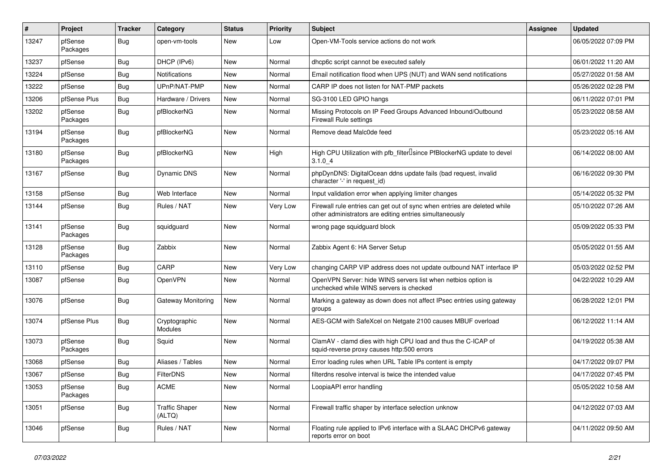| ∦     | Project             | <b>Tracker</b> | Category                        | <b>Status</b> | <b>Priority</b> | Subject                                                                                                                             | <b>Assignee</b> | <b>Updated</b>      |
|-------|---------------------|----------------|---------------------------------|---------------|-----------------|-------------------------------------------------------------------------------------------------------------------------------------|-----------------|---------------------|
| 13247 | pfSense<br>Packages | Bug            | open-vm-tools                   | New           | Low             | Open-VM-Tools service actions do not work                                                                                           |                 | 06/05/2022 07:09 PM |
| 13237 | pfSense             | Bug            | DHCP (IPv6)                     | New           | Normal          | dhcp6c script cannot be executed safely                                                                                             |                 | 06/01/2022 11:20 AM |
| 13224 | pfSense             | Bug            | <b>Notifications</b>            | New           | Normal          | Email notification flood when UPS (NUT) and WAN send notifications                                                                  |                 | 05/27/2022 01:58 AM |
| 13222 | pfSense             | <b>Bug</b>     | UPnP/NAT-PMP                    | <b>New</b>    | Normal          | CARP IP does not listen for NAT-PMP packets                                                                                         |                 | 05/26/2022 02:28 PM |
| 13206 | pfSense Plus        | Bug            | Hardware / Drivers              | New           | Normal          | SG-3100 LED GPIO hangs                                                                                                              |                 | 06/11/2022 07:01 PM |
| 13202 | pfSense<br>Packages | Bug            | pfBlockerNG                     | New           | Normal          | Missing Protocols on IP Feed Groups Advanced Inbound/Outbound<br><b>Firewall Rule settings</b>                                      |                 | 05/23/2022 08:58 AM |
| 13194 | pfSense<br>Packages | Bug            | pfBlockerNG                     | <b>New</b>    | Normal          | Remove dead Malc0de feed                                                                                                            |                 | 05/23/2022 05:16 AM |
| 13180 | pfSense<br>Packages | Bug            | pfBlockerNG                     | New           | High            | High CPU Utilization with pfb_filterLsince PfBlockerNG update to devel<br>3.1.04                                                    |                 | 06/14/2022 08:00 AM |
| 13167 | pfSense             | <b>Bug</b>     | <b>Dynamic DNS</b>              | New           | Normal          | phpDynDNS: DigitalOcean ddns update fails (bad request, invalid<br>character '-' in request_id)                                     |                 | 06/16/2022 09:30 PM |
| 13158 | pfSense             | Bug            | Web Interface                   | New           | Normal          | Input validation error when applying limiter changes                                                                                |                 | 05/14/2022 05:32 PM |
| 13144 | pfSense             | Bug            | Rules / NAT                     | New           | Very Low        | Firewall rule entries can get out of sync when entries are deleted while<br>other administrators are editing entries simultaneously |                 | 05/10/2022 07:26 AM |
| 13141 | pfSense<br>Packages | Bug            | squidguard                      | <b>New</b>    | Normal          | wrong page squidguard block                                                                                                         |                 | 05/09/2022 05:33 PM |
| 13128 | pfSense<br>Packages | Bug            | Zabbix                          | <b>New</b>    | Normal          | Zabbix Agent 6: HA Server Setup                                                                                                     |                 | 05/05/2022 01:55 AM |
| 13110 | pfSense             | Bug            | CARP                            | New           | Very Low        | changing CARP VIP address does not update outbound NAT interface IP                                                                 |                 | 05/03/2022 02:52 PM |
| 13087 | pfSense             | Bug            | OpenVPN                         | New           | Normal          | OpenVPN Server: hide WINS servers list when netbios option is<br>unchecked while WINS servers is checked                            |                 | 04/22/2022 10:29 AM |
| 13076 | pfSense             | Bug            | Gateway Monitoring              | New           | Normal          | Marking a gateway as down does not affect IPsec entries using gateway<br>groups                                                     |                 | 06/28/2022 12:01 PM |
| 13074 | pfSense Plus        | Bug            | Cryptographic<br>Modules        | <b>New</b>    | Normal          | AES-GCM with SafeXcel on Netgate 2100 causes MBUF overload                                                                          |                 | 06/12/2022 11:14 AM |
| 13073 | pfSense<br>Packages | Bug            | Squid                           | <b>New</b>    | Normal          | ClamAV - clamd dies with high CPU load and thus the C-ICAP of<br>squid-reverse proxy causes http:500 errors                         |                 | 04/19/2022 05:38 AM |
| 13068 | pfSense             | Bug            | Aliases / Tables                | New           | Normal          | Error loading rules when URL Table IPs content is empty                                                                             |                 | 04/17/2022 09:07 PM |
| 13067 | pfSense             | <b>Bug</b>     | FilterDNS                       | New           | Normal          | filterdns resolve interval is twice the intended value                                                                              |                 | 04/17/2022 07:45 PM |
| 13053 | pfSense<br>Packages | <b>Bug</b>     | <b>ACME</b>                     | New           | Normal          | LoopiaAPI error handling                                                                                                            |                 | 05/05/2022 10:58 AM |
| 13051 | pfSense             | <b>Bug</b>     | <b>Traffic Shaper</b><br>(ALTQ) | New           | Normal          | Firewall traffic shaper by interface selection unknow                                                                               |                 | 04/12/2022 07:03 AM |
| 13046 | pfSense             | <b>Bug</b>     | Rules / NAT                     | New           | Normal          | Floating rule applied to IPv6 interface with a SLAAC DHCPv6 gateway<br>reports error on boot                                        |                 | 04/11/2022 09:50 AM |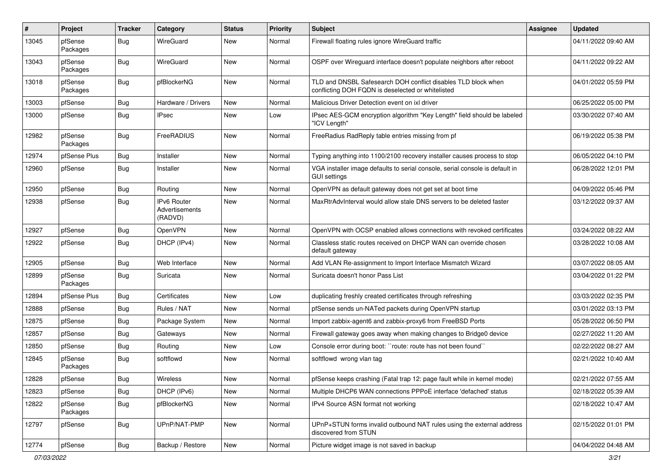| ∦     | Project             | <b>Tracker</b> | Category                                        | <b>Status</b> | <b>Priority</b> | <b>Subject</b>                                                                                                     | <b>Assignee</b> | <b>Updated</b>      |
|-------|---------------------|----------------|-------------------------------------------------|---------------|-----------------|--------------------------------------------------------------------------------------------------------------------|-----------------|---------------------|
| 13045 | pfSense<br>Packages | Bug            | WireGuard                                       | New           | Normal          | Firewall floating rules ignore WireGuard traffic                                                                   |                 | 04/11/2022 09:40 AM |
| 13043 | pfSense<br>Packages | <b>Bug</b>     | WireGuard                                       | New           | Normal          | OSPF over Wireguard interface doesn't populate neighbors after reboot                                              |                 | 04/11/2022 09:22 AM |
| 13018 | pfSense<br>Packages | <b>Bug</b>     | pfBlockerNG                                     | <b>New</b>    | Normal          | TLD and DNSBL Safesearch DOH conflict disables TLD block when<br>conflicting DOH FQDN is deselected or whitelisted |                 | 04/01/2022 05:59 PM |
| 13003 | pfSense             | Bug            | Hardware / Drivers                              | <b>New</b>    | Normal          | Malicious Driver Detection event on ixl driver                                                                     |                 | 06/25/2022 05:00 PM |
| 13000 | pfSense             | Bug            | IPsec                                           | New           | Low             | IPsec AES-GCM encryption algorithm "Key Length" field should be labeled<br>"ICV Length"                            |                 | 03/30/2022 07:40 AM |
| 12982 | pfSense<br>Packages | <b>Bug</b>     | FreeRADIUS                                      | New           | Normal          | FreeRadius RadReply table entries missing from pf                                                                  |                 | 06/19/2022 05:38 PM |
| 12974 | pfSense Plus        | Bug            | Installer                                       | New           | Normal          | Typing anything into 1100/2100 recovery installer causes process to stop                                           |                 | 06/05/2022 04:10 PM |
| 12960 | pfSense             | Bug            | Installer                                       | New           | Normal          | VGA installer image defaults to serial console, serial console is default in<br><b>GUI settings</b>                |                 | 06/28/2022 12:01 PM |
| 12950 | pfSense             | <b>Bug</b>     | Routing                                         | New           | Normal          | OpenVPN as default gateway does not get set at boot time                                                           |                 | 04/09/2022 05:46 PM |
| 12938 | pfSense             | <b>Bug</b>     | <b>IPv6 Router</b><br>Advertisements<br>(RADVD) | New           | Normal          | MaxRtrAdvInterval would allow stale DNS servers to be deleted faster                                               |                 | 03/12/2022 09:37 AM |
| 12927 | pfSense             | <b>Bug</b>     | OpenVPN                                         | New           | Normal          | OpenVPN with OCSP enabled allows connections with revoked certificates                                             |                 | 03/24/2022 08:22 AM |
| 12922 | pfSense             | Bug            | DHCP (IPv4)                                     | New           | Normal          | Classless static routes received on DHCP WAN can override chosen<br>default gateway                                |                 | 03/28/2022 10:08 AM |
| 12905 | pfSense             | <b>Bug</b>     | Web Interface                                   | New           | Normal          | Add VLAN Re-assignment to Import Interface Mismatch Wizard                                                         |                 | 03/07/2022 08:05 AM |
| 12899 | pfSense<br>Packages | Bug            | Suricata                                        | New           | Normal          | Suricata doesn't honor Pass List                                                                                   |                 | 03/04/2022 01:22 PM |
| 12894 | pfSense Plus        | <b>Bug</b>     | Certificates                                    | New           | Low             | duplicating freshly created certificates through refreshing                                                        |                 | 03/03/2022 02:35 PM |
| 12888 | pfSense             | <b>Bug</b>     | Rules / NAT                                     | New           | Normal          | pfSense sends un-NATed packets during OpenVPN startup                                                              |                 | 03/01/2022 03:13 PM |
| 12875 | pfSense             | <b>Bug</b>     | Package System                                  | New           | Normal          | Import zabbix-agent6 and zabbix-proxy6 from FreeBSD Ports                                                          |                 | 05/28/2022 06:50 PM |
| 12857 | pfSense             | <b>Bug</b>     | Gateways                                        | New           | Normal          | Firewall gateway goes away when making changes to Bridge0 device                                                   |                 | 02/27/2022 11:20 AM |
| 12850 | pfSense             | <b>Bug</b>     | Routing                                         | New           | Low             | Console error during boot: "route: route has not been found"                                                       |                 | 02/22/2022 08:27 AM |
| 12845 | pfSense<br>Packages | Bug            | softflowd                                       | New           | Normal          | softflowd wrong vlan tag                                                                                           |                 | 02/21/2022 10:40 AM |
| 12828 | pfSense             | Bug            | Wireless                                        | New           | Normal          | pfSense keeps crashing (Fatal trap 12: page fault while in kernel mode)                                            |                 | 02/21/2022 07:55 AM |
| 12823 | pfSense             | <b>Bug</b>     | DHCP (IPv6)                                     | New           | Normal          | Multiple DHCP6 WAN connections PPPoE interface 'defached' status                                                   |                 | 02/18/2022 05:39 AM |
| 12822 | pfSense<br>Packages | <b>Bug</b>     | pfBlockerNG                                     | New           | Normal          | IPv4 Source ASN format not working                                                                                 |                 | 02/18/2022 10:47 AM |
| 12797 | pfSense             | <b>Bug</b>     | UPnP/NAT-PMP                                    | New           | Normal          | UPnP+STUN forms invalid outbound NAT rules using the external address<br>discovered from STUN                      |                 | 02/15/2022 01:01 PM |
| 12774 | pfSense             | <b>Bug</b>     | Backup / Restore                                | New           | Normal          | Picture widget image is not saved in backup                                                                        |                 | 04/04/2022 04:48 AM |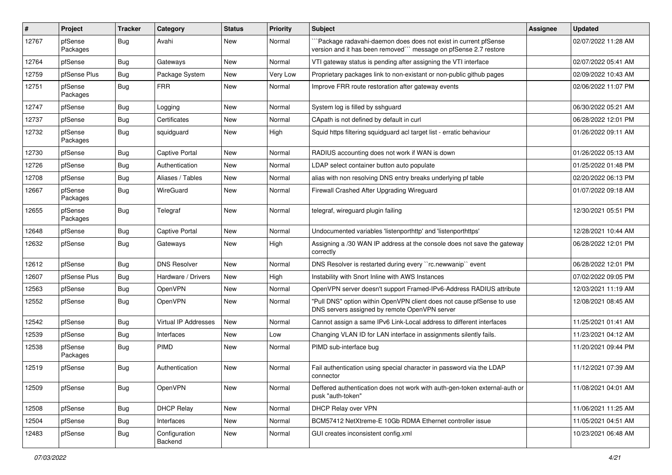| $\vert$ # | Project             | <b>Tracker</b> | Category                 | <b>Status</b> | <b>Priority</b> | Subject                                                                                                                            | Assignee | <b>Updated</b>      |
|-----------|---------------------|----------------|--------------------------|---------------|-----------------|------------------------------------------------------------------------------------------------------------------------------------|----------|---------------------|
| 12767     | pfSense<br>Packages | Bug            | Avahi                    | New           | Normal          | Package radavahi-daemon does does not exist in current pfSense<br>version and it has been removed"" message on pfSense 2.7 restore |          | 02/07/2022 11:28 AM |
| 12764     | pfSense             | <b>Bug</b>     | Gateways                 | New           | Normal          | VTI gateway status is pending after assigning the VTI interface                                                                    |          | 02/07/2022 05:41 AM |
| 12759     | pfSense Plus        | Bug            | Package System           | New           | Very Low        | Proprietary packages link to non-existant or non-public github pages                                                               |          | 02/09/2022 10:43 AM |
| 12751     | pfSense<br>Packages | <b>Bug</b>     | <b>FRR</b>               | New           | Normal          | Improve FRR route restoration after gateway events                                                                                 |          | 02/06/2022 11:07 PM |
| 12747     | pfSense             | <b>Bug</b>     | Logging                  | New           | Normal          | System log is filled by sshguard                                                                                                   |          | 06/30/2022 05:21 AM |
| 12737     | pfSense             | <b>Bug</b>     | Certificates             | New           | Normal          | CApath is not defined by default in curl                                                                                           |          | 06/28/2022 12:01 PM |
| 12732     | pfSense<br>Packages | <b>Bug</b>     | squidguard               | New           | High            | Squid https filtering squidguard acl target list - erratic behaviour                                                               |          | 01/26/2022 09:11 AM |
| 12730     | pfSense             | <b>Bug</b>     | <b>Captive Portal</b>    | New           | Normal          | RADIUS accounting does not work if WAN is down                                                                                     |          | 01/26/2022 05:13 AM |
| 12726     | pfSense             | <b>Bug</b>     | Authentication           | New           | Normal          | LDAP select container button auto populate                                                                                         |          | 01/25/2022 01:48 PM |
| 12708     | pfSense             | <b>Bug</b>     | Aliases / Tables         | New           | Normal          | alias with non resolving DNS entry breaks underlying pf table                                                                      |          | 02/20/2022 06:13 PM |
| 12667     | pfSense<br>Packages | <b>Bug</b>     | WireGuard                | New           | Normal          | Firewall Crashed After Upgrading Wireguard                                                                                         |          | 01/07/2022 09:18 AM |
| 12655     | pfSense<br>Packages | <b>Bug</b>     | Telegraf                 | <b>New</b>    | Normal          | telegraf, wireguard plugin failing                                                                                                 |          | 12/30/2021 05:51 PM |
| 12648     | pfSense             | <b>Bug</b>     | Captive Portal           | New           | Normal          | Undocumented variables 'listenporthttp' and 'listenporthttps'                                                                      |          | 12/28/2021 10:44 AM |
| 12632     | pfSense             | <b>Bug</b>     | Gateways                 | New           | High            | Assigning a /30 WAN IP address at the console does not save the gateway<br>correctly                                               |          | 06/28/2022 12:01 PM |
| 12612     | pfSense             | <b>Bug</b>     | <b>DNS Resolver</b>      | <b>New</b>    | Normal          | DNS Resolver is restarted during every "rc.newwanip" event                                                                         |          | 06/28/2022 12:01 PM |
| 12607     | pfSense Plus        | Bug            | Hardware / Drivers       | New           | High            | Instability with Snort Inline with AWS Instances                                                                                   |          | 07/02/2022 09:05 PM |
| 12563     | pfSense             | Bug            | OpenVPN                  | New           | Normal          | OpenVPN server doesn't support Framed-IPv6-Address RADIUS attribute                                                                |          | 12/03/2021 11:19 AM |
| 12552     | pfSense             | <b>Bug</b>     | OpenVPN                  | New           | Normal          | "Pull DNS" option within OpenVPN client does not cause pfSense to use<br>DNS servers assigned by remote OpenVPN server             |          | 12/08/2021 08:45 AM |
| 12542     | pfSense             | <b>Bug</b>     | Virtual IP Addresses     | <b>New</b>    | Normal          | Cannot assign a same IPv6 Link-Local address to different interfaces                                                               |          | 11/25/2021 01:41 AM |
| 12539     | pfSense             | <b>Bug</b>     | Interfaces               | New           | Low             | Changing VLAN ID for LAN interface in assignments silently fails.                                                                  |          | 11/23/2021 04:12 AM |
| 12538     | pfSense<br>Packages | <b>Bug</b>     | PIMD                     | New           | Normal          | PIMD sub-interface bug                                                                                                             |          | 11/20/2021 09:44 PM |
| 12519     | pfSense             | <b>Bug</b>     | Authentication           | <b>New</b>    | Normal          | Fail authentication using special character in password via the LDAP<br>connector                                                  |          | 11/12/2021 07:39 AM |
| 12509     | pfSense             | Bug            | <b>OpenVPN</b>           | New           | Normal          | Deffered authentication does not work with auth-gen-token external-auth or<br>pusk "auth-token"                                    |          | 11/08/2021 04:01 AM |
| 12508     | pfSense             | <b>Bug</b>     | <b>DHCP Relay</b>        | New           | Normal          | DHCP Relay over VPN                                                                                                                |          | 11/06/2021 11:25 AM |
| 12504     | pfSense             | <b>Bug</b>     | Interfaces               | New           | Normal          | BCM57412 NetXtreme-E 10Gb RDMA Ethernet controller issue                                                                           |          | 11/05/2021 04:51 AM |
| 12483     | pfSense             | <b>Bug</b>     | Configuration<br>Backend | New           | Normal          | GUI creates inconsistent config.xml                                                                                                |          | 10/23/2021 06:48 AM |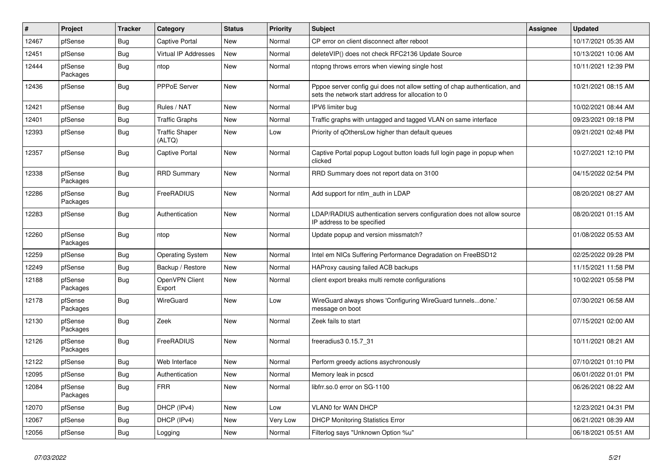| #     | Project             | <b>Tracker</b> | Category                        | <b>Status</b> | <b>Priority</b> | <b>Subject</b>                                                                                                                   | <b>Assignee</b> | <b>Updated</b>      |
|-------|---------------------|----------------|---------------------------------|---------------|-----------------|----------------------------------------------------------------------------------------------------------------------------------|-----------------|---------------------|
| 12467 | pfSense             | <b>Bug</b>     | <b>Captive Portal</b>           | <b>New</b>    | Normal          | CP error on client disconnect after reboot                                                                                       |                 | 10/17/2021 05:35 AM |
| 12451 | pfSense             | <b>Bug</b>     | Virtual IP Addresses            | New           | Normal          | deleteVIP() does not check RFC2136 Update Source                                                                                 |                 | 10/13/2021 10:06 AM |
| 12444 | pfSense<br>Packages | Bug            | ntop                            | New           | Normal          | ntopng throws errors when viewing single host                                                                                    |                 | 10/11/2021 12:39 PM |
| 12436 | pfSense             | Bug            | PPPoE Server                    | New           | Normal          | Pppoe server config gui does not allow setting of chap authentication, and<br>sets the network start address for allocation to 0 |                 | 10/21/2021 08:15 AM |
| 12421 | pfSense             | Bug            | Rules / NAT                     | <b>New</b>    | Normal          | IPV6 limiter bug                                                                                                                 |                 | 10/02/2021 08:44 AM |
| 12401 | pfSense             | <b>Bug</b>     | <b>Traffic Graphs</b>           | <b>New</b>    | Normal          | Traffic graphs with untagged and tagged VLAN on same interface                                                                   |                 | 09/23/2021 09:18 PM |
| 12393 | pfSense             | <b>Bug</b>     | <b>Traffic Shaper</b><br>(ALTQ) | New           | Low             | Priority of qOthersLow higher than default queues                                                                                |                 | 09/21/2021 02:48 PM |
| 12357 | pfSense             | <b>Bug</b>     | <b>Captive Portal</b>           | New           | Normal          | Captive Portal popup Logout button loads full login page in popup when<br>clicked                                                |                 | 10/27/2021 12:10 PM |
| 12338 | pfSense<br>Packages | <b>Bug</b>     | <b>RRD Summary</b>              | <b>New</b>    | Normal          | RRD Summary does not report data on 3100                                                                                         |                 | 04/15/2022 02:54 PM |
| 12286 | pfSense<br>Packages | <b>Bug</b>     | FreeRADIUS                      | <b>New</b>    | Normal          | Add support for ntlm_auth in LDAP                                                                                                |                 | 08/20/2021 08:27 AM |
| 12283 | pfSense             | <b>Bug</b>     | Authentication                  | <b>New</b>    | Normal          | LDAP/RADIUS authentication servers configuration does not allow source<br>IP address to be specified                             |                 | 08/20/2021 01:15 AM |
| 12260 | pfSense<br>Packages | <b>Bug</b>     | ntop                            | <b>New</b>    | Normal          | Update popup and version missmatch?                                                                                              |                 | 01/08/2022 05:53 AM |
| 12259 | pfSense             | <b>Bug</b>     | <b>Operating System</b>         | New           | Normal          | Intel em NICs Suffering Performance Degradation on FreeBSD12                                                                     |                 | 02/25/2022 09:28 PM |
| 12249 | pfSense             | Bug            | Backup / Restore                | New           | Normal          | HAProxy causing failed ACB backups                                                                                               |                 | 11/15/2021 11:58 PM |
| 12188 | pfSense<br>Packages | Bug            | OpenVPN Client<br>Export        | New           | Normal          | client export breaks multi remote configurations                                                                                 |                 | 10/02/2021 05:58 PM |
| 12178 | pfSense<br>Packages | <b>Bug</b>     | <b>WireGuard</b>                | New           | Low             | WireGuard always shows 'Configuring WireGuard tunnelsdone.'<br>message on boot                                                   |                 | 07/30/2021 06:58 AM |
| 12130 | pfSense<br>Packages | <b>Bug</b>     | Zeek                            | <b>New</b>    | Normal          | Zeek fails to start                                                                                                              |                 | 07/15/2021 02:00 AM |
| 12126 | pfSense<br>Packages | <b>Bug</b>     | FreeRADIUS                      | <b>New</b>    | Normal          | freeradius3 0.15.7_31                                                                                                            |                 | 10/11/2021 08:21 AM |
| 12122 | pfSense             | <b>Bug</b>     | Web Interface                   | New           | Normal          | Perform greedy actions asychronously                                                                                             |                 | 07/10/2021 01:10 PM |
| 12095 | pfSense             | Bug            | Authentication                  | New           | Normal          | Memory leak in pcscd                                                                                                             |                 | 06/01/2022 01:01 PM |
| 12084 | pfSense<br>Packages | Bug            | <b>FRR</b>                      | New           | Normal          | libfrr.so.0 error on SG-1100                                                                                                     |                 | 06/26/2021 08:22 AM |
| 12070 | pfSense             | Bug            | DHCP (IPv4)                     | <b>New</b>    | Low             | VLAN0 for WAN DHCP                                                                                                               |                 | 12/23/2021 04:31 PM |
| 12067 | pfSense             | Bug            | DHCP (IPv4)                     | <b>New</b>    | Very Low        | <b>DHCP Monitoring Statistics Error</b>                                                                                          |                 | 06/21/2021 08:39 AM |
| 12056 | pfSense             | <b>Bug</b>     | Logging                         | New           | Normal          | Filterlog says "Unknown Option %u"                                                                                               |                 | 06/18/2021 05:51 AM |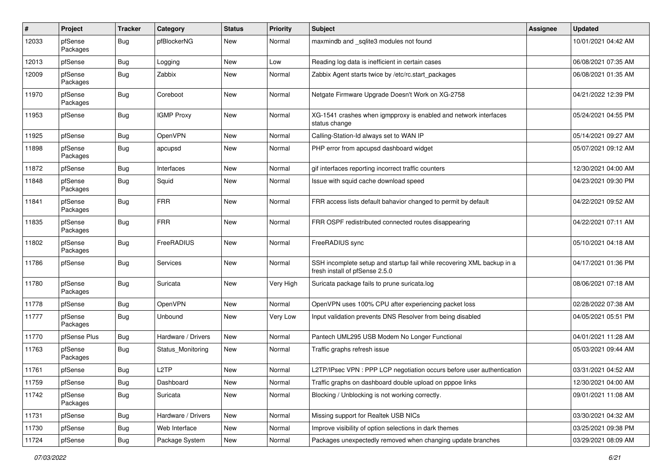| #     | Project             | <b>Tracker</b> | Category           | <b>Status</b> | <b>Priority</b> | <b>Subject</b>                                                                                           | Assignee | <b>Updated</b>      |
|-------|---------------------|----------------|--------------------|---------------|-----------------|----------------------------------------------------------------------------------------------------------|----------|---------------------|
| 12033 | pfSense<br>Packages | Bug            | pfBlockerNG        | New           | Normal          | maxmindb and _sqlite3 modules not found                                                                  |          | 10/01/2021 04:42 AM |
| 12013 | pfSense             | Bug            | Logging            | New           | Low             | Reading log data is inefficient in certain cases                                                         |          | 06/08/2021 07:35 AM |
| 12009 | pfSense<br>Packages | Bug            | Zabbix             | New           | Normal          | Zabbix Agent starts twice by /etc/rc.start_packages                                                      |          | 06/08/2021 01:35 AM |
| 11970 | pfSense<br>Packages | Bug            | Coreboot           | New           | Normal          | Netgate Firmware Upgrade Doesn't Work on XG-2758                                                         |          | 04/21/2022 12:39 PM |
| 11953 | pfSense             | <b>Bug</b>     | <b>IGMP Proxy</b>  | New           | Normal          | XG-1541 crashes when igmpproxy is enabled and network interfaces<br>status change                        |          | 05/24/2021 04:55 PM |
| 11925 | pfSense             | Bug            | <b>OpenVPN</b>     | New           | Normal          | Calling-Station-Id always set to WAN IP                                                                  |          | 05/14/2021 09:27 AM |
| 11898 | pfSense<br>Packages | Bug            | apcupsd            | New           | Normal          | PHP error from apcupsd dashboard widget                                                                  |          | 05/07/2021 09:12 AM |
| 11872 | pfSense             | <b>Bug</b>     | Interfaces         | New           | Normal          | gif interfaces reporting incorrect traffic counters                                                      |          | 12/30/2021 04:00 AM |
| 11848 | pfSense<br>Packages | Bug            | Squid              | New           | Normal          | Issue with squid cache download speed                                                                    |          | 04/23/2021 09:30 PM |
| 11841 | pfSense<br>Packages | <b>Bug</b>     | <b>FRR</b>         | New           | Normal          | FRR access lists default bahavior changed to permit by default                                           |          | 04/22/2021 09:52 AM |
| 11835 | pfSense<br>Packages | Bug            | <b>FRR</b>         | New           | Normal          | FRR OSPF redistributed connected routes disappearing                                                     |          | 04/22/2021 07:11 AM |
| 11802 | pfSense<br>Packages | Bug            | FreeRADIUS         | New           | Normal          | FreeRADIUS sync                                                                                          |          | 05/10/2021 04:18 AM |
| 11786 | pfSense             | Bug            | Services           | New           | Normal          | SSH incomplete setup and startup fail while recovering XML backup in a<br>fresh install of pfSense 2.5.0 |          | 04/17/2021 01:36 PM |
| 11780 | pfSense<br>Packages | <b>Bug</b>     | Suricata           | New           | Very High       | Suricata package fails to prune suricata.log                                                             |          | 08/06/2021 07:18 AM |
| 11778 | pfSense             | Bug            | OpenVPN            | New           | Normal          | OpenVPN uses 100% CPU after experiencing packet loss                                                     |          | 02/28/2022 07:38 AM |
| 11777 | pfSense<br>Packages | <b>Bug</b>     | Unbound            | New           | Very Low        | Input validation prevents DNS Resolver from being disabled                                               |          | 04/05/2021 05:51 PM |
| 11770 | pfSense Plus        | Bug            | Hardware / Drivers | New           | Normal          | Pantech UML295 USB Modem No Longer Functional                                                            |          | 04/01/2021 11:28 AM |
| 11763 | pfSense<br>Packages | Bug            | Status_Monitoring  | New           | Normal          | Traffic graphs refresh issue                                                                             |          | 05/03/2021 09:44 AM |
| 11761 | pfSense             | Bug            | L <sub>2</sub> TP  | New           | Normal          | L2TP/IPsec VPN : PPP LCP negotiation occurs before user authentication                                   |          | 03/31/2021 04:52 AM |
| 11759 | pfSense             | <b>Bug</b>     | Dashboard          | New           | Normal          | Traffic graphs on dashboard double upload on pppoe links                                                 |          | 12/30/2021 04:00 AM |
| 11742 | pfSense<br>Packages | <b>Bug</b>     | Suricata           | New           | Normal          | Blocking / Unblocking is not working correctly.                                                          |          | 09/01/2021 11:08 AM |
| 11731 | pfSense             | <b>Bug</b>     | Hardware / Drivers | New           | Normal          | Missing support for Realtek USB NICs                                                                     |          | 03/30/2021 04:32 AM |
| 11730 | pfSense             | <b>Bug</b>     | Web Interface      | New           | Normal          | Improve visibility of option selections in dark themes                                                   |          | 03/25/2021 09:38 PM |
| 11724 | pfSense             | <b>Bug</b>     | Package System     | New           | Normal          | Packages unexpectedly removed when changing update branches                                              |          | 03/29/2021 08:09 AM |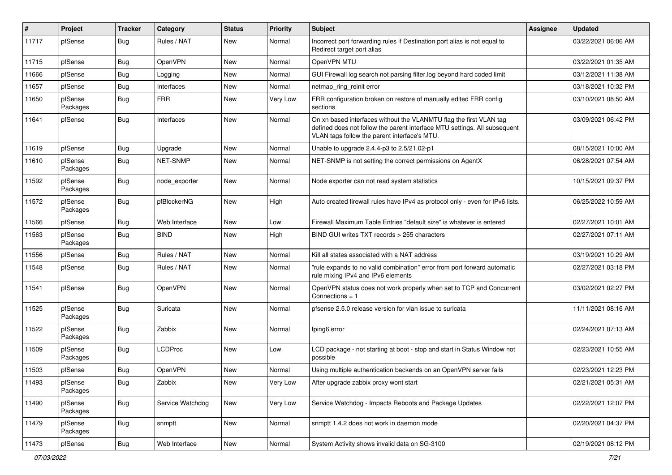| #     | Project             | <b>Tracker</b> | Category         | <b>Status</b> | <b>Priority</b> | Subject                                                                                                                                                                                         | Assignee | <b>Updated</b>      |
|-------|---------------------|----------------|------------------|---------------|-----------------|-------------------------------------------------------------------------------------------------------------------------------------------------------------------------------------------------|----------|---------------------|
| 11717 | pfSense             | Bug            | Rules / NAT      | New           | Normal          | Incorrect port forwarding rules if Destination port alias is not equal to<br>Redirect target port alias                                                                                         |          | 03/22/2021 06:06 AM |
| 11715 | pfSense             | Bug            | OpenVPN          | New           | Normal          | OpenVPN MTU                                                                                                                                                                                     |          | 03/22/2021 01:35 AM |
| 11666 | pfSense             | Bug            | Logging          | New           | Normal          | GUI Firewall log search not parsing filter.log beyond hard coded limit                                                                                                                          |          | 03/12/2021 11:38 AM |
| 11657 | pfSense             | Bug            | Interfaces       | New           | Normal          | netmap ring reinit error                                                                                                                                                                        |          | 03/18/2021 10:32 PM |
| 11650 | pfSense<br>Packages | <b>Bug</b>     | <b>FRR</b>       | New           | Very Low        | FRR configuration broken on restore of manually edited FRR config<br>sections                                                                                                                   |          | 03/10/2021 08:50 AM |
| 11641 | pfSense             | <b>Bug</b>     | Interfaces       | <b>New</b>    | Normal          | On xn based interfaces without the VLANMTU flag the first VLAN tag<br>defined does not follow the parent interface MTU settings. All subsequent<br>VLAN tags follow the parent interface's MTU. |          | 03/09/2021 06:42 PM |
| 11619 | pfSense             | <b>Bug</b>     | Upgrade          | <b>New</b>    | Normal          | Unable to upgrade 2.4.4-p3 to 2.5/21.02-p1                                                                                                                                                      |          | 08/15/2021 10:00 AM |
| 11610 | pfSense<br>Packages | <b>Bug</b>     | NET-SNMP         | New           | Normal          | NET-SNMP is not setting the correct permissions on AgentX                                                                                                                                       |          | 06/28/2021 07:54 AM |
| 11592 | pfSense<br>Packages | <b>Bug</b>     | node exporter    | New           | Normal          | Node exporter can not read system statistics                                                                                                                                                    |          | 10/15/2021 09:37 PM |
| 11572 | pfSense<br>Packages | <b>Bug</b>     | pfBlockerNG      | New           | High            | Auto created firewall rules have IPv4 as protocol only - even for IPv6 lists.                                                                                                                   |          | 06/25/2022 10:59 AM |
| 11566 | pfSense             | <b>Bug</b>     | Web Interface    | <b>New</b>    | Low             | Firewall Maximum Table Entries "default size" is whatever is entered                                                                                                                            |          | 02/27/2021 10:01 AM |
| 11563 | pfSense<br>Packages | <b>Bug</b>     | <b>BIND</b>      | <b>New</b>    | High            | BIND GUI writes TXT records > 255 characters                                                                                                                                                    |          | 02/27/2021 07:11 AM |
| 11556 | pfSense             | <b>Bug</b>     | Rules / NAT      | <b>New</b>    | Normal          | Kill all states associated with a NAT address                                                                                                                                                   |          | 03/19/2021 10:29 AM |
| 11548 | pfSense             | <b>Bug</b>     | Rules / NAT      | New           | Normal          | "rule expands to no valid combination" error from port forward automatic<br>rule mixing IPv4 and IPv6 elements                                                                                  |          | 02/27/2021 03:18 PM |
| 11541 | pfSense             | <b>Bug</b>     | OpenVPN          | New           | Normal          | OpenVPN status does not work properly when set to TCP and Concurrent<br>Connections = $1$                                                                                                       |          | 03/02/2021 02:27 PM |
| 11525 | pfSense<br>Packages | <b>Bug</b>     | Suricata         | New           | Normal          | pfsense 2.5.0 release version for vlan issue to suricata                                                                                                                                        |          | 11/11/2021 08:16 AM |
| 11522 | pfSense<br>Packages | <b>Bug</b>     | Zabbix           | New           | Normal          | fping6 error                                                                                                                                                                                    |          | 02/24/2021 07:13 AM |
| 11509 | pfSense<br>Packages | <b>Bug</b>     | <b>LCDProc</b>   | <b>New</b>    | Low             | LCD package - not starting at boot - stop and start in Status Window not<br>possible                                                                                                            |          | 02/23/2021 10:55 AM |
| 11503 | pfSense             | <b>Bug</b>     | OpenVPN          | New           | Normal          | Using multiple authentication backends on an OpenVPN server fails                                                                                                                               |          | 02/23/2021 12:23 PM |
| 11493 | pfSense<br>Packages | <b>Bug</b>     | Zabbix           | New           | Very Low        | After upgrade zabbix proxy wont start                                                                                                                                                           |          | 02/21/2021 05:31 AM |
| 11490 | pfSense<br>Packages | <b>Bug</b>     | Service Watchdog | New           | Very Low        | Service Watchdog - Impacts Reboots and Package Updates                                                                                                                                          |          | 02/22/2021 12:07 PM |
| 11479 | pfSense<br>Packages | <b>Bug</b>     | snmptt           | New           | Normal          | snmptt 1.4.2 does not work in daemon mode                                                                                                                                                       |          | 02/20/2021 04:37 PM |
| 11473 | pfSense             | <b>Bug</b>     | Web Interface    | New           | Normal          | System Activity shows invalid data on SG-3100                                                                                                                                                   |          | 02/19/2021 08:12 PM |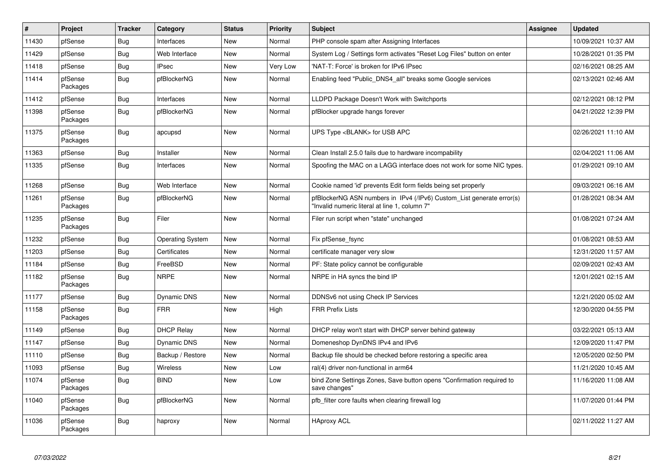| $\vert$ # | Project             | <b>Tracker</b> | Category                | <b>Status</b> | <b>Priority</b> | <b>Subject</b>                                                                                                         | Assignee | <b>Updated</b>      |
|-----------|---------------------|----------------|-------------------------|---------------|-----------------|------------------------------------------------------------------------------------------------------------------------|----------|---------------------|
| 11430     | pfSense             | Bug            | Interfaces              | <b>New</b>    | Normal          | PHP console spam after Assigning Interfaces                                                                            |          | 10/09/2021 10:37 AM |
| 11429     | pfSense             | <b>Bug</b>     | Web Interface           | <b>New</b>    | Normal          | System Log / Settings form activates "Reset Log Files" button on enter                                                 |          | 10/28/2021 01:35 PM |
| 11418     | pfSense             | <b>Bug</b>     | <b>IPsec</b>            | New           | Very Low        | NAT-T: Force' is broken for IPv6 IPsec                                                                                 |          | 02/16/2021 08:25 AM |
| 11414     | pfSense<br>Packages | <b>Bug</b>     | pfBlockerNG             | <b>New</b>    | Normal          | Enabling feed "Public_DNS4_all" breaks some Google services                                                            |          | 02/13/2021 02:46 AM |
| 11412     | pfSense             | <b>Bug</b>     | Interfaces              | New           | Normal          | LLDPD Package Doesn't Work with Switchports                                                                            |          | 02/12/2021 08:12 PM |
| 11398     | pfSense<br>Packages | <b>Bug</b>     | pfBlockerNG             | <b>New</b>    | Normal          | pfBlocker upgrade hangs forever                                                                                        |          | 04/21/2022 12:39 PM |
| 11375     | pfSense<br>Packages | <b>Bug</b>     | apcupsd                 | <b>New</b>    | Normal          | UPS Type <blank> for USB APC</blank>                                                                                   |          | 02/26/2021 11:10 AM |
| 11363     | pfSense             | Bug            | Installer               | <b>New</b>    | Normal          | Clean Install 2.5.0 fails due to hardware incompability                                                                |          | 02/04/2021 11:06 AM |
| 11335     | pfSense             | Bug            | Interfaces              | New           | Normal          | Spoofing the MAC on a LAGG interface does not work for some NIC types.                                                 |          | 01/29/2021 09:10 AM |
| 11268     | pfSense             | <b>Bug</b>     | Web Interface           | New           | Normal          | Cookie named 'id' prevents Edit form fields being set properly                                                         |          | 09/03/2021 06:16 AM |
| 11261     | pfSense<br>Packages | <b>Bug</b>     | pfBlockerNG             | New           | Normal          | pfBlockerNG ASN numbers in IPv4 (/IPv6) Custom_List generate error(s)<br>'Invalid numeric literal at line 1, column 7" |          | 01/28/2021 08:34 AM |
| 11235     | pfSense<br>Packages | <b>Bug</b>     | Filer                   | New           | Normal          | Filer run script when "state" unchanged                                                                                |          | 01/08/2021 07:24 AM |
| 11232     | pfSense             | <b>Bug</b>     | <b>Operating System</b> | New           | Normal          | Fix pfSense_fsync                                                                                                      |          | 01/08/2021 08:53 AM |
| 11203     | pfSense             | <b>Bug</b>     | Certificates            | <b>New</b>    | Normal          | certificate manager very slow                                                                                          |          | 12/31/2020 11:57 AM |
| 11184     | pfSense             | <b>Bug</b>     | FreeBSD                 | New           | Normal          | PF: State policy cannot be configurable                                                                                |          | 02/09/2021 02:43 AM |
| 11182     | pfSense<br>Packages | <b>Bug</b>     | <b>NRPE</b>             | New           | Normal          | NRPE in HA syncs the bind IP                                                                                           |          | 12/01/2021 02:15 AM |
| 11177     | pfSense             | <b>Bug</b>     | Dynamic DNS             | <b>New</b>    | Normal          | DDNSv6 not using Check IP Services                                                                                     |          | 12/21/2020 05:02 AM |
| 11158     | pfSense<br>Packages | <b>Bug</b>     | <b>FRR</b>              | New           | High            | <b>FRR Prefix Lists</b>                                                                                                |          | 12/30/2020 04:55 PM |
| 11149     | pfSense             | <b>Bug</b>     | <b>DHCP Relay</b>       | New           | Normal          | DHCP relay won't start with DHCP server behind gateway                                                                 |          | 03/22/2021 05:13 AM |
| 11147     | pfSense             | <b>Bug</b>     | Dynamic DNS             | New           | Normal          | Domeneshop DynDNS IPv4 and IPv6                                                                                        |          | 12/09/2020 11:47 PM |
| 11110     | pfSense             | Bug            | Backup / Restore        | New           | Normal          | Backup file should be checked before restoring a specific area                                                         |          | 12/05/2020 02:50 PM |
| 11093     | pfSense             | <b>Bug</b>     | <b>Wireless</b>         | New           | Low             | ral(4) driver non-functional in arm64                                                                                  |          | 11/21/2020 10:45 AM |
| 11074     | pfSense<br>Packages | <b>Bug</b>     | <b>BIND</b>             | New           | Low             | bind Zone Settings Zones, Save button opens "Confirmation required to<br>save changes"                                 |          | 11/16/2020 11:08 AM |
| 11040     | pfSense<br>Packages | <b>Bug</b>     | pfBlockerNG             | <b>New</b>    | Normal          | pfb_filter core faults when clearing firewall log                                                                      |          | 11/07/2020 01:44 PM |
| 11036     | pfSense<br>Packages | <b>Bug</b>     | haproxy                 | <b>New</b>    | Normal          | <b>HAproxy ACL</b>                                                                                                     |          | 02/11/2022 11:27 AM |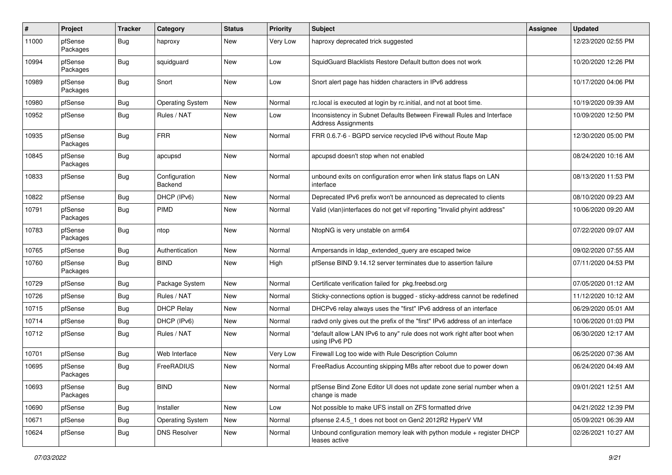| #     | Project             | <b>Tracker</b> | Category                 | <b>Status</b> | <b>Priority</b> | Subject                                                                                             | <b>Assignee</b> | <b>Updated</b>      |
|-------|---------------------|----------------|--------------------------|---------------|-----------------|-----------------------------------------------------------------------------------------------------|-----------------|---------------------|
| 11000 | pfSense<br>Packages | Bug            | haproxy                  | New           | Very Low        | haproxy deprecated trick suggested                                                                  |                 | 12/23/2020 02:55 PM |
| 10994 | pfSense<br>Packages | Bug            | squidguard               | New           | Low             | SquidGuard Blacklists Restore Default button does not work                                          |                 | 10/20/2020 12:26 PM |
| 10989 | pfSense<br>Packages | Bug            | Snort                    | New           | Low             | Snort alert page has hidden characters in IPv6 address                                              |                 | 10/17/2020 04:06 PM |
| 10980 | pfSense             | Bug            | <b>Operating System</b>  | New           | Normal          | rc.local is executed at login by rc.initial, and not at boot time.                                  |                 | 10/19/2020 09:39 AM |
| 10952 | pfSense             | Bug            | Rules / NAT              | New           | Low             | Inconsistency in Subnet Defaults Between Firewall Rules and Interface<br><b>Address Assignments</b> |                 | 10/09/2020 12:50 PM |
| 10935 | pfSense<br>Packages | Bug            | <b>FRR</b>               | New           | Normal          | FRR 0.6.7-6 - BGPD service recycled IPv6 without Route Map                                          |                 | 12/30/2020 05:00 PM |
| 10845 | pfSense<br>Packages | Bug            | apcupsd                  | New           | Normal          | apcupsd doesn't stop when not enabled                                                               |                 | 08/24/2020 10:16 AM |
| 10833 | pfSense             | Bug            | Configuration<br>Backend | <b>New</b>    | Normal          | unbound exits on configuration error when link status flaps on LAN<br>interface                     |                 | 08/13/2020 11:53 PM |
| 10822 | pfSense             | Bug            | DHCP (IPv6)              | New           | Normal          | Deprecated IPv6 prefix won't be announced as deprecated to clients                                  |                 | 08/10/2020 09:23 AM |
| 10791 | pfSense<br>Packages | Bug            | <b>PIMD</b>              | New           | Normal          | Valid (vlan)interfaces do not get vif reporting "Invalid phyint address"                            |                 | 10/06/2020 09:20 AM |
| 10783 | pfSense<br>Packages | Bug            | ntop                     | New           | Normal          | NtopNG is very unstable on arm64                                                                    |                 | 07/22/2020 09:07 AM |
| 10765 | pfSense             | Bug            | Authentication           | New           | Normal          | Ampersands in Idap_extended_query are escaped twice                                                 |                 | 09/02/2020 07:55 AM |
| 10760 | pfSense<br>Packages | <b>Bug</b>     | <b>BIND</b>              | New           | High            | pfSense BIND 9.14.12 server terminates due to assertion failure                                     |                 | 07/11/2020 04:53 PM |
| 10729 | pfSense             | <b>Bug</b>     | Package System           | New           | Normal          | Certificate verification failed for pkg.freebsd.org                                                 |                 | 07/05/2020 01:12 AM |
| 10726 | pfSense             | <b>Bug</b>     | Rules / NAT              | New           | Normal          | Sticky-connections option is bugged - sticky-address cannot be redefined                            |                 | 11/12/2020 10:12 AM |
| 10715 | pfSense             | <b>Bug</b>     | <b>DHCP Relay</b>        | New           | Normal          | DHCPv6 relay always uses the "first" IPv6 address of an interface                                   |                 | 06/29/2020 05:01 AM |
| 10714 | pfSense             | <b>Bug</b>     | DHCP (IPv6)              | New           | Normal          | radvd only gives out the prefix of the "first" IPv6 address of an interface                         |                 | 10/06/2020 01:03 PM |
| 10712 | pfSense             | Bug            | Rules / NAT              | New           | Normal          | "default allow LAN IPv6 to any" rule does not work right after boot when<br>using IPv6 PD           |                 | 06/30/2020 12:17 AM |
| 10701 | pfSense             | <b>Bug</b>     | Web Interface            | New           | Very Low        | Firewall Log too wide with Rule Description Column                                                  |                 | 06/25/2020 07:36 AM |
| 10695 | pfSense<br>Packages | Bug            | FreeRADIUS               | New           | Normal          | FreeRadius Accounting skipping MBs after reboot due to power down                                   |                 | 06/24/2020 04:49 AM |
| 10693 | pfSense<br>Packages | <b>Bug</b>     | <b>BIND</b>              | New           | Normal          | pfSense Bind Zone Editor UI does not update zone serial number when a<br>change is made             |                 | 09/01/2021 12:51 AM |
| 10690 | pfSense             | <b>Bug</b>     | Installer                | New           | Low             | Not possible to make UFS install on ZFS formatted drive                                             |                 | 04/21/2022 12:39 PM |
| 10671 | pfSense             | <b>Bug</b>     | <b>Operating System</b>  | New           | Normal          | pfsense 2.4.5_1 does not boot on Gen2 2012R2 HyperV VM                                              |                 | 05/09/2021 06:39 AM |
| 10624 | pfSense             | <b>Bug</b>     | <b>DNS Resolver</b>      | New           | Normal          | Unbound configuration memory leak with python module + register DHCP<br>leases active               |                 | 02/26/2021 10:27 AM |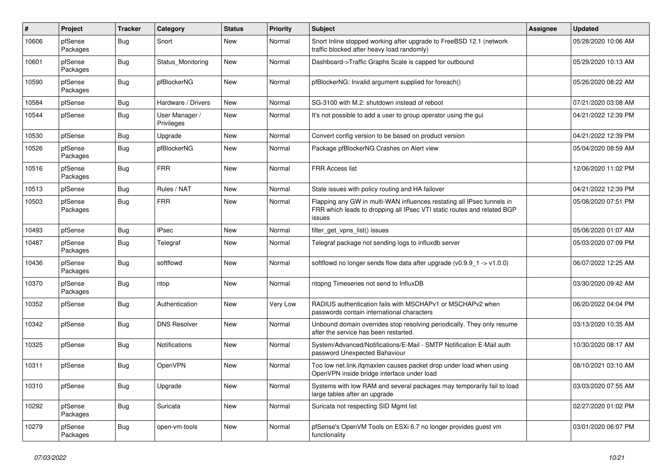| #     | Project             | <b>Tracker</b> | Category                     | <b>Status</b> | <b>Priority</b> | <b>Subject</b>                                                                                                                                              | Assignee | <b>Updated</b>      |
|-------|---------------------|----------------|------------------------------|---------------|-----------------|-------------------------------------------------------------------------------------------------------------------------------------------------------------|----------|---------------------|
| 10606 | pfSense<br>Packages | Bug            | Snort                        | <b>New</b>    | Normal          | Snort Inline stopped working after upgrade to FreeBSD 12.1 (network<br>traffic blocked after heavy load randomly)                                           |          | 05/28/2020 10:06 AM |
| 10601 | pfSense<br>Packages | Bug            | Status Monitoring            | <b>New</b>    | Normal          | Dashboard->Traffic Graphs Scale is capped for outbound                                                                                                      |          | 05/29/2020 10:13 AM |
| 10590 | pfSense<br>Packages | Bug            | pfBlockerNG                  | New           | Normal          | pfBlockerNG: Invalid argument supplied for foreach()                                                                                                        |          | 05/26/2020 08:22 AM |
| 10584 | pfSense             | Bug            | Hardware / Drivers           | New           | Normal          | SG-3100 with M.2: shutdown instead of reboot                                                                                                                |          | 07/21/2020 03:08 AM |
| 10544 | pfSense             | Bug            | User Manager /<br>Privileges | New           | Normal          | It's not possible to add a user to group operator using the gui                                                                                             |          | 04/21/2022 12:39 PM |
| 10530 | pfSense             | Bug            | Upgrade                      | <b>New</b>    | Normal          | Convert config version to be based on product version                                                                                                       |          | 04/21/2022 12:39 PM |
| 10526 | pfSense<br>Packages | Bug            | pfBlockerNG                  | New           | Normal          | Package pfBlockerNG Crashes on Alert view                                                                                                                   |          | 05/04/2020 08:59 AM |
| 10516 | pfSense<br>Packages | <b>Bug</b>     | <b>FRR</b>                   | New           | Normal          | FRR Access list                                                                                                                                             |          | 12/06/2020 11:02 PM |
| 10513 | pfSense             | <b>Bug</b>     | Rules / NAT                  | New           | Normal          | State issues with policy routing and HA failover                                                                                                            |          | 04/21/2022 12:39 PM |
| 10503 | pfSense<br>Packages | <b>Bug</b>     | <b>FRR</b>                   | New           | Normal          | Flapping any GW in multi-WAN influences restating all IPsec tunnels in<br>FRR which leads to dropping all IPsec VTI static routes and related BGP<br>issues |          | 05/08/2020 07:51 PM |
| 10493 | pfSense             | Bug            | <b>IPsec</b>                 | <b>New</b>    | Normal          | filter_get_vpns_list() issues                                                                                                                               |          | 05/06/2020 01:07 AM |
| 10487 | pfSense<br>Packages | Bug            | Telegraf                     | New           | Normal          | Telegraf package not sending logs to influxdb server                                                                                                        |          | 05/03/2020 07:09 PM |
| 10436 | pfSense<br>Packages | Bug            | softflowd                    | New           | Normal          | softflowd no longer sends flow data after upgrade $(v0.9.9 - 1 \rightarrow v1.0.0)$                                                                         |          | 06/07/2022 12:25 AM |
| 10370 | pfSense<br>Packages | <b>Bug</b>     | ntop                         | New           | Normal          | ntopng Timeseries not send to InfluxDB                                                                                                                      |          | 03/30/2020 09:42 AM |
| 10352 | pfSense             | Bug            | Authentication               | New           | Very Low        | RADIUS authentication fails with MSCHAPv1 or MSCHAPv2 when<br>passwords contain international characters                                                    |          | 06/20/2022 04:04 PM |
| 10342 | pfSense             | Bug            | <b>DNS Resolver</b>          | <b>New</b>    | Normal          | Unbound domain overrides stop resolving periodically. They only resume<br>after the service has been restarted.                                             |          | 03/13/2020 10:35 AM |
| 10325 | pfSense             | Bug            | Notifications                | New           | Normal          | System/Advanced/Notifications/E-Mail - SMTP Notification E-Mail auth<br>password Unexpected Bahaviour                                                       |          | 10/30/2020 08:17 AM |
| 10311 | pfSense             | Bug            | <b>OpenVPN</b>               | <b>New</b>    | Normal          | Too low net.link.ifqmaxlen causes packet drop under load when using<br>OpenVPN inside bridge interface under load                                           |          | 08/10/2021 03:10 AM |
| 10310 | pfSense             | <b>Bug</b>     | Upgrade                      | New           | Normal          | Systems with low RAM and several packages may temporarily fail to load<br>large tables after an upgrade                                                     |          | 03/03/2020 07:55 AM |
| 10292 | pfSense<br>Packages | <b>Bug</b>     | Suricata                     | New           | Normal          | Suricata not respecting SID Mgmt list                                                                                                                       |          | 02/27/2020 01:02 PM |
| 10279 | pfSense<br>Packages | Bug            | open-vm-tools                | New           | Normal          | pfSense's OpenVM Tools on ESXi 6.7 no longer provides guest vm<br>functionality                                                                             |          | 03/01/2020 06:07 PM |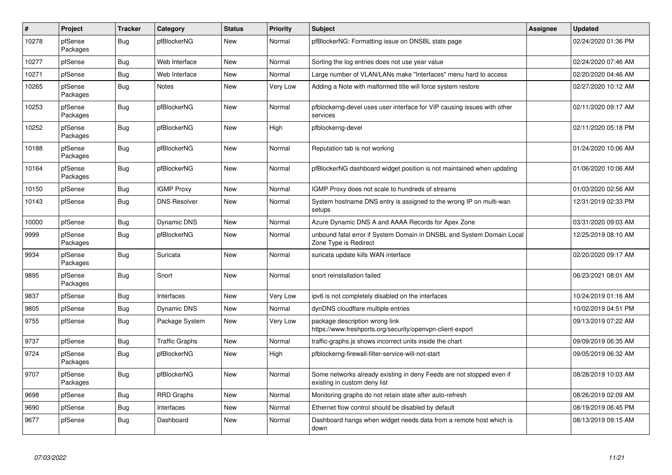| $\vert$ # | Project             | <b>Tracker</b> | Category              | <b>Status</b> | <b>Priority</b> | <b>Subject</b>                                                                                       | Assignee | <b>Updated</b>      |
|-----------|---------------------|----------------|-----------------------|---------------|-----------------|------------------------------------------------------------------------------------------------------|----------|---------------------|
| 10278     | pfSense<br>Packages | <b>Bug</b>     | pfBlockerNG           | New           | Normal          | pfBlockerNG: Formatting issue on DNSBL stats page                                                    |          | 02/24/2020 01:36 PM |
| 10277     | pfSense             | Bug            | Web Interface         | New           | Normal          | Sorting the log entries does not use year value                                                      |          | 02/24/2020 07:46 AM |
| 10271     | pfSense             | Bug            | Web Interface         | New           | Normal          | Large number of VLAN/LANs make "Interfaces" menu hard to access                                      |          | 02/20/2020 04:46 AM |
| 10265     | pfSense<br>Packages | <b>Bug</b>     | <b>Notes</b>          | New           | Very Low        | Adding a Note with malformed title will force system restore                                         |          | 02/27/2020 10:12 AM |
| 10253     | pfSense<br>Packages | <b>Bug</b>     | pfBlockerNG           | New           | Normal          | pfblockerng-devel uses user interface for VIP causing issues with other<br>services                  |          | 02/11/2020 09:17 AM |
| 10252     | pfSense<br>Packages | <b>Bug</b>     | pfBlockerNG           | New           | High            | pfblockerng-devel                                                                                    |          | 02/11/2020 05:18 PM |
| 10188     | pfSense<br>Packages | <b>Bug</b>     | pfBlockerNG           | <b>New</b>    | Normal          | Reputation tab is not working                                                                        |          | 01/24/2020 10:06 AM |
| 10164     | pfSense<br>Packages | <b>Bug</b>     | pfBlockerNG           | <b>New</b>    | Normal          | pfBlockerNG dashboard widget position is not maintained when updating                                |          | 01/06/2020 10:06 AM |
| 10150     | pfSense             | <b>Bug</b>     | <b>IGMP Proxy</b>     | <b>New</b>    | Normal          | IGMP Proxy does not scale to hundreds of streams                                                     |          | 01/03/2020 02:56 AM |
| 10143     | pfSense             | <b>Bug</b>     | <b>DNS Resolver</b>   | <b>New</b>    | Normal          | System hostname DNS entry is assigned to the wrong IP on multi-wan<br>setups                         |          | 12/31/2019 02:33 PM |
| 10000     | pfSense             | Bug            | Dynamic DNS           | New           | Normal          | Azure Dynamic DNS A and AAAA Records for Apex Zone                                                   |          | 03/31/2020 09:03 AM |
| 9999      | pfSense<br>Packages | Bug            | pfBlockerNG           | <b>New</b>    | Normal          | unbound fatal error if System Domain in DNSBL and System Domain Local<br>Zone Type is Redirect       |          | 12/25/2019 08:10 AM |
| 9934      | pfSense<br>Packages | <b>Bug</b>     | Suricata              | <b>New</b>    | Normal          | suricata update kills WAN interface                                                                  |          | 02/20/2020 09:17 AM |
| 9895      | pfSense<br>Packages | Bug            | Snort                 | New           | Normal          | snort reinstallation failed                                                                          |          | 06/23/2021 08:01 AM |
| 9837      | pfSense             | Bug            | Interfaces            | <b>New</b>    | Very Low        | ipv6 is not completely disabled on the interfaces                                                    |          | 10/24/2019 01:16 AM |
| 9805      | pfSense             | <b>Bug</b>     | Dynamic DNS           | New           | Normal          | dynDNS cloudflare multiple entries                                                                   |          | 10/02/2019 04:51 PM |
| 9755      | pfSense             | Bug            | Package System        | New           | Very Low        | package description wrong link<br>https://www.freshports.org/security/openvpn-client-export          |          | 09/13/2019 07:22 AM |
| 9737      | pfSense             | Bug            | <b>Traffic Graphs</b> | New           | Normal          | traffic-graphs is shows incorrect units inside the chart                                             |          | 09/09/2019 06:35 AM |
| 9724      | pfSense<br>Packages | <b>Bug</b>     | pfBlockerNG           | New           | High            | pfblockerng-firewall-filter-service-will-not-start                                                   |          | 09/05/2019 06:32 AM |
| 9707      | pfSense<br>Packages | Bug            | pfBlockerNG           | New           | Normal          | Some networks already existing in deny Feeds are not stopped even if<br>existing in custom deny list |          | 08/28/2019 10:03 AM |
| 9698      | pfSense             | Bug            | <b>RRD Graphs</b>     | New           | Normal          | Monitoring graphs do not retain state after auto-refresh                                             |          | 08/26/2019 02:09 AM |
| 9690      | pfSense             | Bug            | Interfaces            | <b>New</b>    | Normal          | Ethernet flow control should be disabled by default                                                  |          | 08/19/2019 06:45 PM |
| 9677      | pfSense             | <b>Bug</b>     | Dashboard             | New           | Normal          | Dashboard hangs when widget needs data from a remote host which is<br>down                           |          | 08/13/2019 09:15 AM |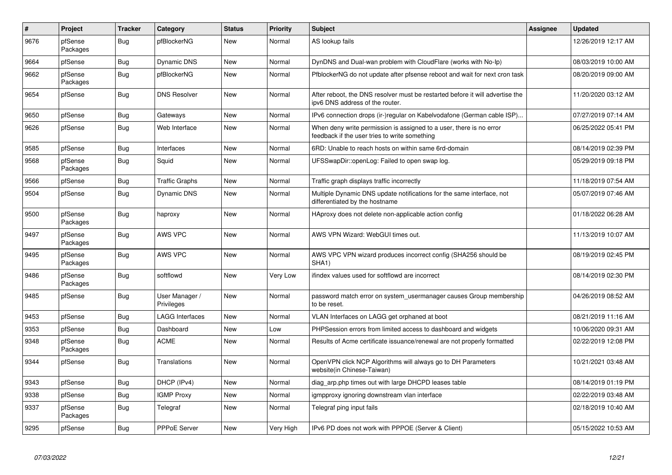| $\vert$ # | Project             | <b>Tracker</b> | Category                     | <b>Status</b> | <b>Priority</b> | <b>Subject</b>                                                                                                       | <b>Assignee</b> | <b>Updated</b>      |
|-----------|---------------------|----------------|------------------------------|---------------|-----------------|----------------------------------------------------------------------------------------------------------------------|-----------------|---------------------|
| 9676      | pfSense<br>Packages | <b>Bug</b>     | pfBlockerNG                  | <b>New</b>    | Normal          | AS lookup fails                                                                                                      |                 | 12/26/2019 12:17 AM |
| 9664      | pfSense             | Bug            | Dynamic DNS                  | New           | Normal          | DynDNS and Dual-wan problem with CloudFlare (works with No-Ip)                                                       |                 | 08/03/2019 10:00 AM |
| 9662      | pfSense<br>Packages | Bug            | pfBlockerNG                  | New           | Normal          | PfblockerNG do not update after pfsense reboot and wait for next cron task                                           |                 | 08/20/2019 09:00 AM |
| 9654      | pfSense             | Bug            | <b>DNS Resolver</b>          | New           | Normal          | After reboot, the DNS resolver must be restarted before it will advertise the<br>ipv6 DNS address of the router.     |                 | 11/20/2020 03:12 AM |
| 9650      | pfSense             | <b>Bug</b>     | Gateways                     | <b>New</b>    | Normal          | IPv6 connection drops (ir-)regular on Kabelvodafone (German cable ISP)                                               |                 | 07/27/2019 07:14 AM |
| 9626      | pfSense             | <b>Bug</b>     | Web Interface                | New           | Normal          | When deny write permission is assigned to a user, there is no error<br>feedback if the user tries to write something |                 | 06/25/2022 05:41 PM |
| 9585      | pfSense             | Bug            | Interfaces                   | <b>New</b>    | Normal          | 6RD: Unable to reach hosts on within same 6rd-domain                                                                 |                 | 08/14/2019 02:39 PM |
| 9568      | pfSense<br>Packages | Bug            | Squid                        | New           | Normal          | UFSSwapDir::openLog: Failed to open swap log.                                                                        |                 | 05/29/2019 09:18 PM |
| 9566      | pfSense             | <b>Bug</b>     | <b>Traffic Graphs</b>        | <b>New</b>    | Normal          | Traffic graph displays traffic incorrectly                                                                           |                 | 11/18/2019 07:54 AM |
| 9504      | pfSense             | Bug            | <b>Dynamic DNS</b>           | New           | Normal          | Multiple Dynamic DNS update notifications for the same interface, not<br>differentiated by the hostname              |                 | 05/07/2019 07:46 AM |
| 9500      | pfSense<br>Packages | Bug            | haproxy                      | <b>New</b>    | Normal          | HAproxy does not delete non-applicable action config                                                                 |                 | 01/18/2022 06:28 AM |
| 9497      | pfSense<br>Packages | Bug            | AWS VPC                      | <b>New</b>    | Normal          | AWS VPN Wizard: WebGUI times out.                                                                                    |                 | 11/13/2019 10:07 AM |
| 9495      | pfSense<br>Packages | Bug            | AWS VPC                      | <b>New</b>    | Normal          | AWS VPC VPN wizard produces incorrect config (SHA256 should be<br>SHA1)                                              |                 | 08/19/2019 02:45 PM |
| 9486      | pfSense<br>Packages | Bug            | softflowd                    | <b>New</b>    | Very Low        | ifindex values used for softflowd are incorrect                                                                      |                 | 08/14/2019 02:30 PM |
| 9485      | pfSense             | <b>Bug</b>     | User Manager /<br>Privileges | New           | Normal          | password match error on system usermanager causes Group membership<br>to be reset.                                   |                 | 04/26/2019 08:52 AM |
| 9453      | pfSense             | Bug            | LAGG Interfaces              | New           | Normal          | VLAN Interfaces on LAGG get orphaned at boot                                                                         |                 | 08/21/2019 11:16 AM |
| 9353      | pfSense             | <b>Bug</b>     | Dashboard                    | New           | Low             | PHPSession errors from limited access to dashboard and widgets                                                       |                 | 10/06/2020 09:31 AM |
| 9348      | pfSense<br>Packages | Bug            | <b>ACME</b>                  | <b>New</b>    | Normal          | Results of Acme certificate issuance/renewal are not properly formatted                                              |                 | 02/22/2019 12:08 PM |
| 9344      | pfSense             | <b>Bug</b>     | Translations                 | New           | Normal          | OpenVPN click NCP Algorithms will always go to DH Parameters<br>website(in Chinese-Taiwan)                           |                 | 10/21/2021 03:48 AM |
| 9343      | pfSense             | Bug            | DHCP (IPv4)                  | New           | Normal          | diag arp.php times out with large DHCPD leases table                                                                 |                 | 08/14/2019 01:19 PM |
| 9338      | pfSense             | Bug            | <b>IGMP Proxy</b>            | New           | Normal          | igmpproxy ignoring downstream vlan interface                                                                         |                 | 02/22/2019 03:48 AM |
| 9337      | pfSense<br>Packages | <b>Bug</b>     | Telegraf                     | New           | Normal          | Telegraf ping input fails                                                                                            |                 | 02/18/2019 10:40 AM |
| 9295      | pfSense             | <b>Bug</b>     | PPPoE Server                 | New           | Very High       | IPv6 PD does not work with PPPOE (Server & Client)                                                                   |                 | 05/15/2022 10:53 AM |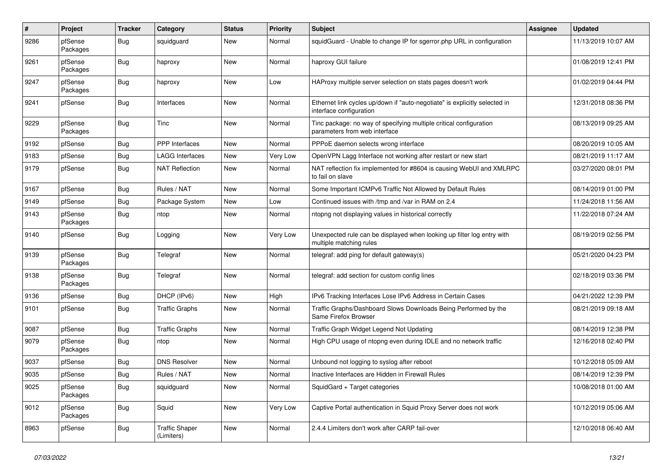| #    | Project             | <b>Tracker</b> | Category                            | <b>Status</b> | <b>Priority</b> | <b>Subject</b>                                                                                        | Assignee | <b>Updated</b>      |
|------|---------------------|----------------|-------------------------------------|---------------|-----------------|-------------------------------------------------------------------------------------------------------|----------|---------------------|
| 9286 | pfSense<br>Packages | <b>Bug</b>     | squidguard                          | New           | Normal          | squidGuard - Unable to change IP for sgerror.php URL in configuration                                 |          | 11/13/2019 10:07 AM |
| 9261 | pfSense<br>Packages | Bug            | haproxy                             | <b>New</b>    | Normal          | haproxy GUI failure                                                                                   |          | 01/08/2019 12:41 PM |
| 9247 | pfSense<br>Packages | Bug            | haproxy                             | <b>New</b>    | Low             | HAProxy multiple server selection on stats pages doesn't work                                         |          | 01/02/2019 04:44 PM |
| 9241 | pfSense             | Bug            | Interfaces                          | New           | Normal          | Ethernet link cycles up/down if "auto-negotiate" is explicitly selected in<br>interface configuration |          | 12/31/2018 08:36 PM |
| 9229 | pfSense<br>Packages | Bug            | Tinc                                | New           | Normal          | Tinc package: no way of specifying multiple critical configuration<br>parameters from web interface   |          | 08/13/2019 09:25 AM |
| 9192 | pfSense             | <b>Bug</b>     | PPP Interfaces                      | New           | Normal          | PPPoE daemon selects wrong interface                                                                  |          | 08/20/2019 10:05 AM |
| 9183 | pfSense             | <b>Bug</b>     | LAGG Interfaces                     | New           | Very Low        | OpenVPN Lagg Interface not working after restart or new start                                         |          | 08/21/2019 11:17 AM |
| 9179 | pfSense             | Bug            | <b>NAT Reflection</b>               | New           | Normal          | NAT reflection fix implemented for #8604 is causing WebUI and XMLRPC<br>to fail on slave              |          | 03/27/2020 08:01 PM |
| 9167 | pfSense             | <b>Bug</b>     | Rules / NAT                         | <b>New</b>    | Normal          | Some Important ICMPv6 Traffic Not Allowed by Default Rules                                            |          | 08/14/2019 01:00 PM |
| 9149 | pfSense             | Bug            | Package System                      | <b>New</b>    | Low             | Continued issues with /tmp and /var in RAM on 2.4                                                     |          | 11/24/2018 11:56 AM |
| 9143 | pfSense<br>Packages | Bug            | ntop                                | New           | Normal          | ntopng not displaying values in historical correctly                                                  |          | 11/22/2018 07:24 AM |
| 9140 | pfSense             | Bug            | Logging                             | New           | Very Low        | Unexpected rule can be displayed when looking up filter log entry with<br>multiple matching rules     |          | 08/19/2019 02:56 PM |
| 9139 | pfSense<br>Packages | <b>Bug</b>     | Telegraf                            | New           | Normal          | telegraf: add ping for default gateway(s)                                                             |          | 05/21/2020 04:23 PM |
| 9138 | pfSense<br>Packages | Bug            | Telegraf                            | New           | Normal          | telegraf: add section for custom config lines                                                         |          | 02/18/2019 03:36 PM |
| 9136 | pfSense             | <b>Bug</b>     | DHCP (IPv6)                         | <b>New</b>    | High            | IPv6 Tracking Interfaces Lose IPv6 Address in Certain Cases                                           |          | 04/21/2022 12:39 PM |
| 9101 | pfSense             | Bug            | <b>Traffic Graphs</b>               | New           | Normal          | Traffic Graphs/Dashboard Slows Downloads Being Performed by the<br>Same Firefox Browser               |          | 08/21/2019 09:18 AM |
| 9087 | pfSense             | Bug            | <b>Traffic Graphs</b>               | New           | Normal          | Traffic Graph Widget Legend Not Updating                                                              |          | 08/14/2019 12:38 PM |
| 9079 | pfSense<br>Packages | Bug            | ntop                                | New           | Normal          | High CPU usage of ntopng even during IDLE and no network traffic                                      |          | 12/16/2018 02:40 PM |
| 9037 | pfSense             | <b>Bug</b>     | <b>DNS Resolver</b>                 | New           | Normal          | Unbound not logging to syslog after reboot                                                            |          | 10/12/2018 05:09 AM |
| 9035 | pfSense             | <b>Bug</b>     | Rules / NAT                         | New           | Normal          | Inactive Interfaces are Hidden in Firewall Rules                                                      |          | 08/14/2019 12:39 PM |
| 9025 | pfSense<br>Packages | <b>Bug</b>     | squidguard                          | New           | Normal          | SquidGard + Target categories                                                                         |          | 10/08/2018 01:00 AM |
| 9012 | pfSense<br>Packages | <b>Bug</b>     | Squid                               | New           | Very Low        | Captive Portal authentication in Squid Proxy Server does not work                                     |          | 10/12/2019 05:06 AM |
| 8963 | pfSense             | <b>Bug</b>     | <b>Traffic Shaper</b><br>(Limiters) | New           | Normal          | 2.4.4 Limiters don't work after CARP fail-over                                                        |          | 12/10/2018 06:40 AM |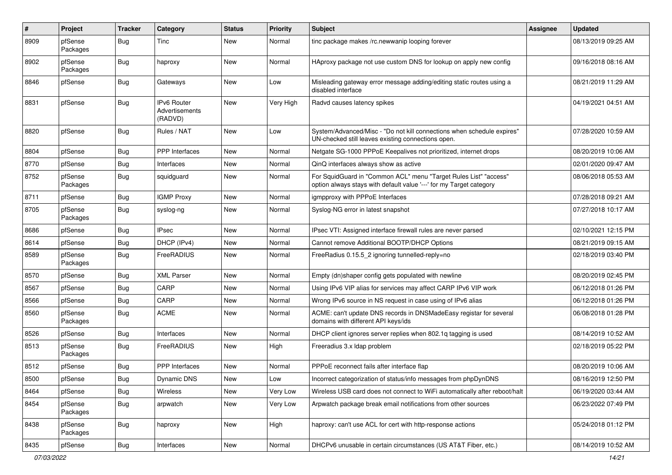| $\pmb{\#}$ | Project             | <b>Tracker</b> | Category                                        | <b>Status</b> | <b>Priority</b> | <b>Subject</b>                                                                                                                          | <b>Assignee</b> | <b>Updated</b>      |
|------------|---------------------|----------------|-------------------------------------------------|---------------|-----------------|-----------------------------------------------------------------------------------------------------------------------------------------|-----------------|---------------------|
| 8909       | pfSense<br>Packages | <b>Bug</b>     | Tinc                                            | New           | Normal          | tinc package makes /rc.newwanip looping forever                                                                                         |                 | 08/13/2019 09:25 AM |
| 8902       | pfSense<br>Packages | Bug            | haproxy                                         | New           | Normal          | HAproxy package not use custom DNS for lookup on apply new config                                                                       |                 | 09/16/2018 08:16 AM |
| 8846       | pfSense             | Bug            | Gateways                                        | New           | Low             | Misleading gateway error message adding/editing static routes using a<br>disabled interface                                             |                 | 08/21/2019 11:29 AM |
| 8831       | pfSense             | Bug            | <b>IPv6 Router</b><br>Advertisements<br>(RADVD) | New           | Very High       | Radvd causes latency spikes                                                                                                             |                 | 04/19/2021 04:51 AM |
| 8820       | pfSense             | <b>Bug</b>     | Rules / NAT                                     | New           | Low             | System/Advanced/Misc - "Do not kill connections when schedule expires"<br>UN-checked still leaves existing connections open.            |                 | 07/28/2020 10:59 AM |
| 8804       | pfSense             | <b>Bug</b>     | <b>PPP</b> Interfaces                           | New           | Normal          | Netgate SG-1000 PPPoE Keepalives not prioritized, internet drops                                                                        |                 | 08/20/2019 10:06 AM |
| 8770       | pfSense             | Bug            | Interfaces                                      | New           | Normal          | QinQ interfaces always show as active                                                                                                   |                 | 02/01/2020 09:47 AM |
| 8752       | pfSense<br>Packages | <b>Bug</b>     | squidguard                                      | New           | Normal          | For SquidGuard in "Common ACL" menu "Target Rules List" "access"<br>option always stays with default value '---' for my Target category |                 | 08/06/2018 05:53 AM |
| 8711       | pfSense             | Bug            | <b>IGMP Proxy</b>                               | New           | Normal          | igmpproxy with PPPoE Interfaces                                                                                                         |                 | 07/28/2018 09:21 AM |
| 8705       | pfSense<br>Packages | Bug            | syslog-ng                                       | New           | Normal          | Syslog-NG error in latest snapshot                                                                                                      |                 | 07/27/2018 10:17 AM |
| 8686       | pfSense             | <b>Bug</b>     | <b>IPsec</b>                                    | New           | Normal          | IPsec VTI: Assigned interface firewall rules are never parsed                                                                           |                 | 02/10/2021 12:15 PM |
| 8614       | pfSense             | <b>Bug</b>     | DHCP (IPv4)                                     | New           | Normal          | Cannot remove Additional BOOTP/DHCP Options                                                                                             |                 | 08/21/2019 09:15 AM |
| 8589       | pfSense<br>Packages | <b>Bug</b>     | FreeRADIUS                                      | New           | Normal          | FreeRadius 0.15.5 2 ignoring tunnelled-reply=no                                                                                         |                 | 02/18/2019 03:40 PM |
| 8570       | pfSense             | Bug            | <b>XML Parser</b>                               | New           | Normal          | Empty (dn)shaper config gets populated with newline                                                                                     |                 | 08/20/2019 02:45 PM |
| 8567       | pfSense             | Bug            | CARP                                            | New           | Normal          | Using IPv6 VIP alias for services may affect CARP IPv6 VIP work                                                                         |                 | 06/12/2018 01:26 PM |
| 8566       | pfSense             | Bug            | CARP                                            | New           | Normal          | Wrong IPv6 source in NS request in case using of IPv6 alias                                                                             |                 | 06/12/2018 01:26 PM |
| 8560       | pfSense<br>Packages | Bug            | <b>ACME</b>                                     | New           | Normal          | ACME: can't update DNS records in DNSMadeEasy registar for several<br>domains with different API keys/ids                               |                 | 06/08/2018 01:28 PM |
| 8526       | pfSense             | Bug            | Interfaces                                      | New           | Normal          | DHCP client ignores server replies when 802.1q tagging is used                                                                          |                 | 08/14/2019 10:52 AM |
| 8513       | pfSense<br>Packages | Bug            | FreeRADIUS                                      | New           | High            | Freeradius 3.x Idap problem                                                                                                             |                 | 02/18/2019 05:22 PM |
| 8512       | pfSense             | Bug            | <b>PPP</b> Interfaces                           | New           | Normal          | PPPoE reconnect fails after interface flap                                                                                              |                 | 08/20/2019 10:06 AM |
| 8500       | pfSense             | Bug            | Dynamic DNS                                     | New           | Low             | Incorrect categorization of status/info messages from phpDynDNS                                                                         |                 | 08/16/2019 12:50 PM |
| 8464       | pfSense             | <b>Bug</b>     | Wireless                                        | New           | Very Low        | Wireless USB card does not connect to WiFi automatically after reboot/halt                                                              |                 | 06/19/2020 03:44 AM |
| 8454       | pfSense<br>Packages | <b>Bug</b>     | arpwatch                                        | New           | Very Low        | Arpwatch package break email notifications from other sources                                                                           |                 | 06/23/2022 07:49 PM |
| 8438       | pfSense<br>Packages | Bug            | haproxy                                         | New           | High            | haproxy: can't use ACL for cert with http-response actions                                                                              |                 | 05/24/2018 01:12 PM |
| 8435       | pfSense             | <b>Bug</b>     | Interfaces                                      | New           | Normal          | DHCPv6 unusable in certain circumstances (US AT&T Fiber, etc.)                                                                          |                 | 08/14/2019 10:52 AM |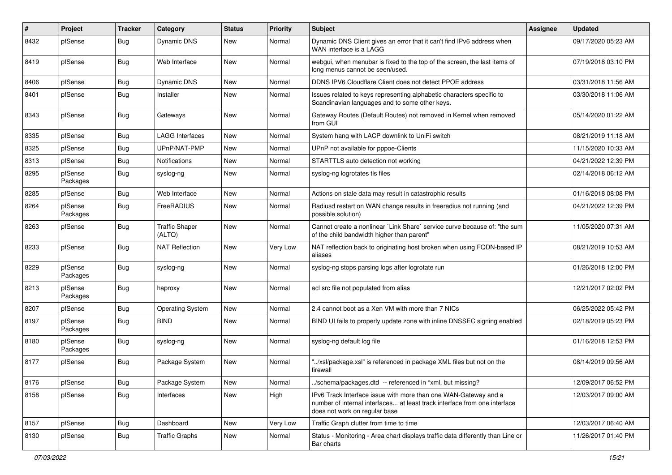| #    | Project             | <b>Tracker</b> | Category                        | <b>Status</b> | <b>Priority</b> | <b>Subject</b>                                                                                                                                                                | <b>Assignee</b> | <b>Updated</b>      |
|------|---------------------|----------------|---------------------------------|---------------|-----------------|-------------------------------------------------------------------------------------------------------------------------------------------------------------------------------|-----------------|---------------------|
| 8432 | pfSense             | Bug            | Dynamic DNS                     | New           | Normal          | Dynamic DNS Client gives an error that it can't find IPv6 address when<br>WAN interface is a LAGG                                                                             |                 | 09/17/2020 05:23 AM |
| 8419 | pfSense             | Bug            | Web Interface                   | <b>New</b>    | Normal          | webgui, when menubar is fixed to the top of the screen, the last items of<br>long menus cannot be seen/used.                                                                  |                 | 07/19/2018 03:10 PM |
| 8406 | pfSense             | Bug            | Dynamic DNS                     | New           | Normal          | DDNS IPV6 Cloudflare Client does not detect PPOE address                                                                                                                      |                 | 03/31/2018 11:56 AM |
| 8401 | pfSense             | Bug            | Installer                       | New           | Normal          | Issues related to keys representing alphabetic characters specific to<br>Scandinavian languages and to some other keys.                                                       |                 | 03/30/2018 11:06 AM |
| 8343 | pfSense             | Bug            | Gateways                        | New           | Normal          | Gateway Routes (Default Routes) not removed in Kernel when removed<br>from GUI                                                                                                |                 | 05/14/2020 01:22 AM |
| 8335 | pfSense             | Bug            | LAGG Interfaces                 | <b>New</b>    | Normal          | System hang with LACP downlink to UniFi switch                                                                                                                                |                 | 08/21/2019 11:18 AM |
| 8325 | pfSense             | Bug            | UPnP/NAT-PMP                    | New           | Normal          | UPnP not available for pppoe-Clients                                                                                                                                          |                 | 11/15/2020 10:33 AM |
| 8313 | pfSense             | <b>Bug</b>     | Notifications                   | New           | Normal          | STARTTLS auto detection not working                                                                                                                                           |                 | 04/21/2022 12:39 PM |
| 8295 | pfSense<br>Packages | <b>Bug</b>     | syslog-ng                       | New           | Normal          | syslog-ng logrotates tls files                                                                                                                                                |                 | 02/14/2018 06:12 AM |
| 8285 | pfSense             | Bug            | Web Interface                   | New           | Normal          | Actions on stale data may result in catastrophic results                                                                                                                      |                 | 01/16/2018 08:08 PM |
| 8264 | pfSense<br>Packages | Bug            | FreeRADIUS                      | New           | Normal          | Radiusd restart on WAN change results in freeradius not running (and<br>possible solution)                                                                                    |                 | 04/21/2022 12:39 PM |
| 8263 | pfSense             | Bug            | <b>Traffic Shaper</b><br>(ALTQ) | New           | Normal          | Cannot create a nonlinear `Link Share` service curve because of: "the sum<br>of the child bandwidth higher than parent"                                                       |                 | 11/05/2020 07:31 AM |
| 8233 | pfSense             | Bug            | <b>NAT Reflection</b>           | <b>New</b>    | Very Low        | NAT reflection back to originating host broken when using FQDN-based IP<br>aliases                                                                                            |                 | 08/21/2019 10:53 AM |
| 8229 | pfSense<br>Packages | Bug            | syslog-ng                       | New           | Normal          | syslog-ng stops parsing logs after logrotate run                                                                                                                              |                 | 01/26/2018 12:00 PM |
| 8213 | pfSense<br>Packages | <b>Bug</b>     | haproxy                         | New           | Normal          | acl src file not populated from alias                                                                                                                                         |                 | 12/21/2017 02:02 PM |
| 8207 | pfSense             | Bug            | <b>Operating System</b>         | New           | Normal          | 2.4 cannot boot as a Xen VM with more than 7 NICs                                                                                                                             |                 | 06/25/2022 05:42 PM |
| 8197 | pfSense<br>Packages | Bug            | <b>BIND</b>                     | New           | Normal          | BIND UI fails to properly update zone with inline DNSSEC signing enabled                                                                                                      |                 | 02/18/2019 05:23 PM |
| 8180 | pfSense<br>Packages | Bug            | syslog-ng                       | <b>New</b>    | Normal          | syslog-ng default log file                                                                                                                                                    |                 | 01/16/2018 12:53 PM |
| 8177 | pfSense             | Bug            | Package System                  | New           | Normal          | "/xsl/package.xsl" is referenced in package XML files but not on the<br>firewall                                                                                              |                 | 08/14/2019 09:56 AM |
| 8176 | pfSense             | <b>Bug</b>     | Package System                  | New           | Normal          | ./schema/packages.dtd -- referenced in *xml, but missing?                                                                                                                     |                 | 12/09/2017 06:52 PM |
| 8158 | pfSense             | Bug            | Interfaces                      | New           | High            | IPv6 Track Interface issue with more than one WAN-Gateway and a<br>number of internal interfaces at least track interface from one interface<br>does not work on regular base |                 | 12/03/2017 09:00 AM |
| 8157 | pfSense             | <b>Bug</b>     | Dashboard                       | New           | Very Low        | Traffic Graph clutter from time to time                                                                                                                                       |                 | 12/03/2017 06:40 AM |
| 8130 | pfSense             | <b>Bug</b>     | <b>Traffic Graphs</b>           | New           | Normal          | Status - Monitoring - Area chart displays traffic data differently than Line or<br>Bar charts                                                                                 |                 | 11/26/2017 01:40 PM |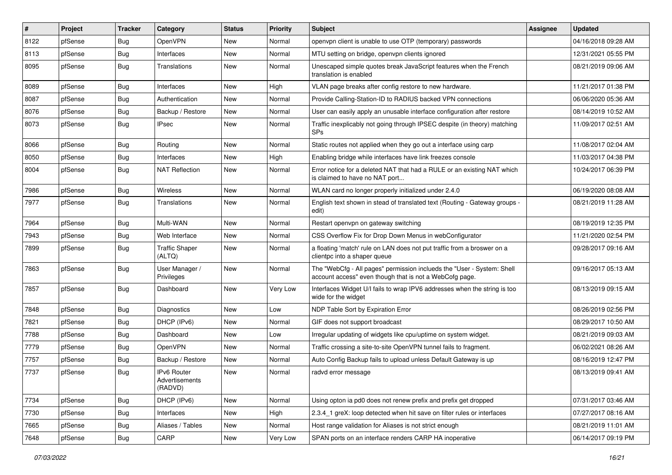| $\vert$ # | Project | <b>Tracker</b> | Category                                 | <b>Status</b> | <b>Priority</b> | <b>Subject</b>                                                                                                                    | <b>Assignee</b> | <b>Updated</b>      |
|-----------|---------|----------------|------------------------------------------|---------------|-----------------|-----------------------------------------------------------------------------------------------------------------------------------|-----------------|---------------------|
| 8122      | pfSense | Bug            | OpenVPN                                  | New           | Normal          | openypn client is unable to use OTP (temporary) passwords                                                                         |                 | 04/16/2018 09:28 AM |
| 8113      | pfSense | Bug            | Interfaces                               | New           | Normal          | MTU setting on bridge, openvpn clients ignored                                                                                    |                 | 12/31/2021 05:55 PM |
| 8095      | pfSense | Bug            | Translations                             | New           | Normal          | Unescaped simple quotes break JavaScript features when the French<br>translation is enabled                                       |                 | 08/21/2019 09:06 AM |
| 8089      | pfSense | Bug            | Interfaces                               | New           | High            | VLAN page breaks after config restore to new hardware.                                                                            |                 | 11/21/2017 01:38 PM |
| 8087      | pfSense | Bug            | Authentication                           | New           | Normal          | Provide Calling-Station-ID to RADIUS backed VPN connections                                                                       |                 | 06/06/2020 05:36 AM |
| 8076      | pfSense | Bug            | Backup / Restore                         | New           | Normal          | User can easily apply an unusable interface configuration after restore                                                           |                 | 08/14/2019 10:52 AM |
| 8073      | pfSense | Bug            | <b>IPsec</b>                             | New           | Normal          | Traffic inexplicably not going through IPSEC despite (in theory) matching<br><b>SPs</b>                                           |                 | 11/09/2017 02:51 AM |
| 8066      | pfSense | Bug            | Routing                                  | New           | Normal          | Static routes not applied when they go out a interface using carp                                                                 |                 | 11/08/2017 02:04 AM |
| 8050      | pfSense | Bug            | Interfaces                               | New           | High            | Enabling bridge while interfaces have link freezes console                                                                        |                 | 11/03/2017 04:38 PM |
| 8004      | pfSense | Bug            | <b>NAT Reflection</b>                    | New           | Normal          | Error notice for a deleted NAT that had a RULE or an existing NAT which<br>is claimed to have no NAT port                         |                 | 10/24/2017 06:39 PM |
| 7986      | pfSense | Bug            | <b>Wireless</b>                          | New           | Normal          | WLAN card no longer properly initialized under 2.4.0                                                                              |                 | 06/19/2020 08:08 AM |
| 7977      | pfSense | Bug            | Translations                             | New           | Normal          | English text shown in stead of translated text (Routing - Gateway groups -<br>edit)                                               |                 | 08/21/2019 11:28 AM |
| 7964      | pfSense | Bug            | Multi-WAN                                | New           | Normal          | Restart openvpn on gateway switching                                                                                              |                 | 08/19/2019 12:35 PM |
| 7943      | pfSense | Bug            | Web Interface                            | New           | Normal          | CSS Overflow Fix for Drop Down Menus in webConfigurator                                                                           |                 | 11/21/2020 02:54 PM |
| 7899      | pfSense | Bug            | <b>Traffic Shaper</b><br>(ALTQ)          | New           | Normal          | a floating 'match' rule on LAN does not put traffic from a broswer on a<br>clientpc into a shaper queue                           |                 | 09/28/2017 09:16 AM |
| 7863      | pfSense | Bug            | User Manager /<br>Privileges             | New           | Normal          | The "WebCfg - All pages" permission inclueds the "User - System: Shell<br>account access" even though that is not a WebCofg page. |                 | 09/16/2017 05:13 AM |
| 7857      | pfSense | Bug            | Dashboard                                | New           | Very Low        | Interfaces Widget U/I fails to wrap IPV6 addresses when the string is too<br>wide for the widget                                  |                 | 08/13/2019 09:15 AM |
| 7848      | pfSense | Bug            | <b>Diagnostics</b>                       | New           | Low             | NDP Table Sort by Expiration Error                                                                                                |                 | 08/26/2019 02:56 PM |
| 7821      | pfSense | Bug            | DHCP (IPv6)                              | New           | Normal          | GIF does not support broadcast                                                                                                    |                 | 08/29/2017 10:50 AM |
| 7788      | pfSense | Bug            | Dashboard                                | New           | Low             | Irregular updating of widgets like cpu/uptime on system widget.                                                                   |                 | 08/21/2019 09:03 AM |
| 7779      | pfSense | Bug            | OpenVPN                                  | New           | Normal          | Traffic crossing a site-to-site OpenVPN tunnel fails to fragment.                                                                 |                 | 06/02/2021 08:26 AM |
| 7757      | pfSense | Bug            | Backup / Restore                         | New           | Normal          | Auto Config Backup fails to upload unless Default Gateway is up                                                                   |                 | 08/16/2019 12:47 PM |
| 7737      | pfSense | <b>Bug</b>     | IPv6 Router<br>Advertisements<br>(RADVD) | New           | Normal          | radvd error message                                                                                                               |                 | 08/13/2019 09:41 AM |
| 7734      | pfSense | Bug            | DHCP (IPv6)                              | New           | Normal          | Using opton ia pd0 does not renew prefix and prefix get dropped                                                                   |                 | 07/31/2017 03:46 AM |
| 7730      | pfSense | <b>Bug</b>     | Interfaces                               | New           | High            | 2.3.4_1 greX: loop detected when hit save on filter rules or interfaces                                                           |                 | 07/27/2017 08:16 AM |
| 7665      | pfSense | <b>Bug</b>     | Aliases / Tables                         | New           | Normal          | Host range validation for Aliases is not strict enough                                                                            |                 | 08/21/2019 11:01 AM |
| 7648      | pfSense | Bug            | CARP                                     | New           | Very Low        | SPAN ports on an interface renders CARP HA inoperative                                                                            |                 | 06/14/2017 09:19 PM |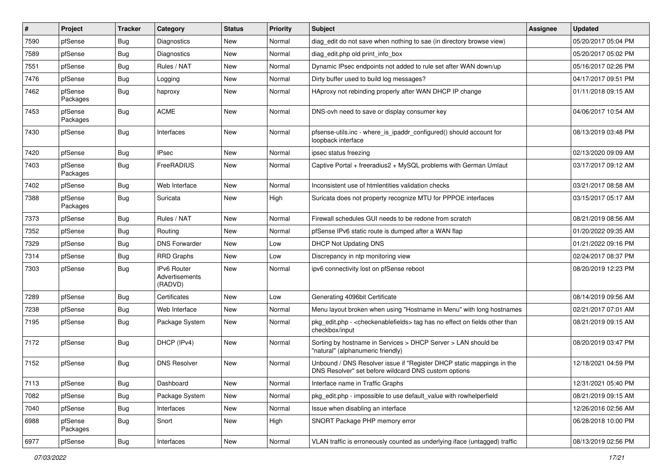| $\pmb{\sharp}$ | Project             | <b>Tracker</b> | Category                                        | <b>Status</b> | <b>Priority</b> | Subject                                                                                                                       | Assignee | <b>Updated</b>      |
|----------------|---------------------|----------------|-------------------------------------------------|---------------|-----------------|-------------------------------------------------------------------------------------------------------------------------------|----------|---------------------|
| 7590           | pfSense             | <b>Bug</b>     | <b>Diagnostics</b>                              | New           | Normal          | diag edit do not save when nothing to sae (in directory browse view)                                                          |          | 05/20/2017 05:04 PM |
| 7589           | pfSense             | <b>Bug</b>     | Diagnostics                                     | New           | Normal          | diag_edit.php old print_info_box                                                                                              |          | 05/20/2017 05:02 PM |
| 7551           | pfSense             | <b>Bug</b>     | Rules / NAT                                     | New           | Normal          | Dynamic IPsec endpoints not added to rule set after WAN down/up                                                               |          | 05/16/2017 02:26 PM |
| 7476           | pfSense             | <b>Bug</b>     | Logging                                         | New           | Normal          | Dirty buffer used to build log messages?                                                                                      |          | 04/17/2017 09:51 PM |
| 7462           | pfSense<br>Packages | <b>Bug</b>     | haproxy                                         | New           | Normal          | HAproxy not rebinding properly after WAN DHCP IP change                                                                       |          | 01/11/2018 09:15 AM |
| 7453           | pfSense<br>Packages | <b>Bug</b>     | <b>ACME</b>                                     | <b>New</b>    | Normal          | DNS-ovh need to save or display consumer key                                                                                  |          | 04/06/2017 10:54 AM |
| 7430           | pfSense             | <b>Bug</b>     | Interfaces                                      | New           | Normal          | pfsense-utils.inc - where_is_ipaddr_configured() should account for<br>loopback interface                                     |          | 08/13/2019 03:48 PM |
| 7420           | pfSense             | Bug            | <b>IPsec</b>                                    | New           | Normal          | ipsec status freezing                                                                                                         |          | 02/13/2020 09:09 AM |
| 7403           | pfSense<br>Packages | <b>Bug</b>     | FreeRADIUS                                      | New           | Normal          | Captive Portal + freeradius2 + MySQL problems with German Umlaut                                                              |          | 03/17/2017 09:12 AM |
| 7402           | pfSense             | Bug            | Web Interface                                   | <b>New</b>    | Normal          | Inconsistent use of htmlentities validation checks                                                                            |          | 03/21/2017 08:58 AM |
| 7388           | pfSense<br>Packages | <b>Bug</b>     | Suricata                                        | New           | High            | Suricata does not property recognize MTU for PPPOE interfaces                                                                 |          | 03/15/2017 05:17 AM |
| 7373           | pfSense             | <b>Bug</b>     | Rules / NAT                                     | New           | Normal          | Firewall schedules GUI needs to be redone from scratch                                                                        |          | 08/21/2019 08:56 AM |
| 7352           | pfSense             | Bug            | Routing                                         | New           | Normal          | pfSense IPv6 static route is dumped after a WAN flap                                                                          |          | 01/20/2022 09:35 AM |
| 7329           | pfSense             | Bug            | <b>DNS Forwarder</b>                            | New           | Low             | <b>DHCP Not Updating DNS</b>                                                                                                  |          | 01/21/2022 09:16 PM |
| 7314           | pfSense             | <b>Bug</b>     | RRD Graphs                                      | New           | Low             | Discrepancy in ntp monitoring view                                                                                            |          | 02/24/2017 08:37 PM |
| 7303           | pfSense             | <b>Bug</b>     | <b>IPv6 Router</b><br>Advertisements<br>(RADVD) | New           | Normal          | ipv6 connectivity lost on pfSense reboot                                                                                      |          | 08/20/2019 12:23 PM |
| 7289           | pfSense             | <b>Bug</b>     | Certificates                                    | <b>New</b>    | Low             | Generating 4096bit Certificate                                                                                                |          | 08/14/2019 09:56 AM |
| 7238           | pfSense             | <b>Bug</b>     | Web Interface                                   | New           | Normal          | Menu layout broken when using "Hostname in Menu" with long hostnames                                                          |          | 02/21/2017 07:01 AM |
| 7195           | pfSense             | Bug            | Package System                                  | New           | Normal          | pkg_edit.php - <checkenablefields> tag has no effect on fields other than<br/>checkbox/input</checkenablefields>              |          | 08/21/2019 09:15 AM |
| 7172           | pfSense             | <b>Bug</b>     | DHCP (IPv4)                                     | <b>New</b>    | Normal          | Sorting by hostname in Services > DHCP Server > LAN should be<br>"natural" (alphanumeric friendly)                            |          | 08/20/2019 03:47 PM |
| 7152           | pfSense             | Bug            | <b>DNS Resolver</b>                             | New           | Normal          | Unbound / DNS Resolver issue if "Register DHCP static mappings in the<br>DNS Resolver" set before wildcard DNS custom options |          | 12/18/2021 04:59 PM |
| 7113           | pfSense             | <b>Bug</b>     | Dashboard                                       | New           | Normal          | Interface name in Traffic Graphs                                                                                              |          | 12/31/2021 05:40 PM |
| 7082           | pfSense             | <b>Bug</b>     | Package System                                  | New           | Normal          | pkg edit.php - impossible to use default value with rowhelperfield                                                            |          | 08/21/2019 09:15 AM |
| 7040           | pfSense             | <b>Bug</b>     | Interfaces                                      | New           | Normal          | Issue when disabling an interface                                                                                             |          | 12/26/2016 02:56 AM |
| 6988           | pfSense<br>Packages | <b>Bug</b>     | Snort                                           | New           | High            | SNORT Package PHP memory error                                                                                                |          | 06/28/2018 10:00 PM |
| 6977           | pfSense             | <b>Bug</b>     | Interfaces                                      | New           | Normal          | VLAN traffic is erroneously counted as underlying iface (untagged) traffic                                                    |          | 08/13/2019 02:56 PM |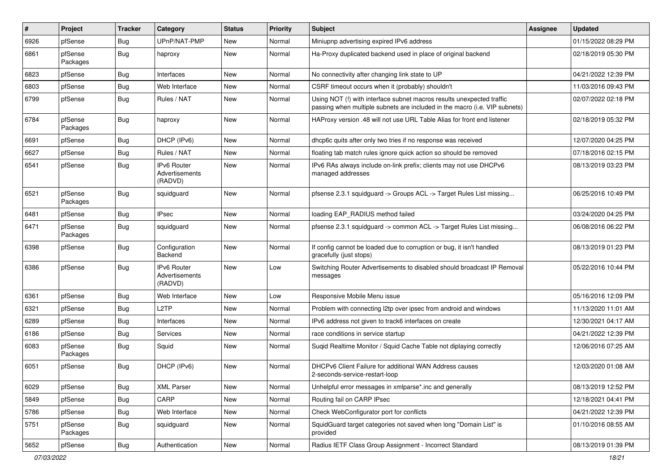| #    | Project             | <b>Tracker</b> | Category                                 | <b>Status</b> | <b>Priority</b> | Subject                                                                                                                                             | Assignee | <b>Updated</b>      |
|------|---------------------|----------------|------------------------------------------|---------------|-----------------|-----------------------------------------------------------------------------------------------------------------------------------------------------|----------|---------------------|
| 6926 | pfSense             | Bug            | UPnP/NAT-PMP                             | New           | Normal          | Miniupnp advertising expired IPv6 address                                                                                                           |          | 01/15/2022 08:29 PM |
| 6861 | pfSense<br>Packages | <b>Bug</b>     | haproxy                                  | New           | Normal          | Ha-Proxy duplicated backend used in place of original backend                                                                                       |          | 02/18/2019 05:30 PM |
| 6823 | pfSense             | Bug            | Interfaces                               | New           | Normal          | No connectivity after changing link state to UP                                                                                                     |          | 04/21/2022 12:39 PM |
| 6803 | pfSense             | Bug            | Web Interface                            | New           | Normal          | CSRF timeout occurs when it (probably) shouldn't                                                                                                    |          | 11/03/2016 09:43 PM |
| 6799 | pfSense             | <b>Bug</b>     | Rules / NAT                              | New           | Normal          | Using NOT (!) with interface subnet macros results unexpected traffic<br>passing when multiple subnets are included in the macro (i.e. VIP subnets) |          | 02/07/2022 02:18 PM |
| 6784 | pfSense<br>Packages | Bug            | haproxy                                  | New           | Normal          | HAProxy version .48 will not use URL Table Alias for front end listener                                                                             |          | 02/18/2019 05:32 PM |
| 6691 | pfSense             | Bug            | DHCP (IPv6)                              | <b>New</b>    | Normal          | dhcp6c quits after only two tries if no response was received                                                                                       |          | 12/07/2020 04:25 PM |
| 6627 | pfSense             | Bug            | Rules / NAT                              | New           | Normal          | floating tab match rules ignore quick action so should be removed                                                                                   |          | 07/18/2016 02:15 PM |
| 6541 | pfSense             | Bug            | IPv6 Router<br>Advertisements<br>(RADVD) | New           | Normal          | IPv6 RAs always include on-link prefix; clients may not use DHCPv6<br>managed addresses                                                             |          | 08/13/2019 03:23 PM |
| 6521 | pfSense<br>Packages | Bug            | squidguard                               | New           | Normal          | pfsense 2.3.1 squidguard -> Groups ACL -> Target Rules List missing                                                                                 |          | 06/25/2016 10:49 PM |
| 6481 | pfSense             | Bug            | <b>IPsec</b>                             | New           | Normal          | loading EAP_RADIUS method failed                                                                                                                    |          | 03/24/2020 04:25 PM |
| 6471 | pfSense<br>Packages | Bug            | squidguard                               | New           | Normal          | pfsense 2.3.1 squidguard -> common ACL -> Target Rules List missing                                                                                 |          | 06/08/2016 06:22 PM |
| 6398 | pfSense             | Bug            | Configuration<br>Backend                 | New           | Normal          | If config cannot be loaded due to corruption or bug, it isn't handled<br>gracefully (just stops)                                                    |          | 08/13/2019 01:23 PM |
| 6386 | pfSense             | Bug            | IPv6 Router<br>Advertisements<br>(RADVD) | New           | Low             | Switching Router Advertisements to disabled should broadcast IP Removal<br>messages                                                                 |          | 05/22/2016 10:44 PM |
| 6361 | pfSense             | Bug            | Web Interface                            | <b>New</b>    | Low             | Responsive Mobile Menu issue                                                                                                                        |          | 05/16/2016 12:09 PM |
| 6321 | pfSense             | <b>Bug</b>     | L <sub>2</sub> TP                        | New           | Normal          | Problem with connecting I2tp over ipsec from android and windows                                                                                    |          | 11/13/2020 11:01 AM |
| 6289 | pfSense             | <b>Bug</b>     | Interfaces                               | New           | Normal          | IPv6 address not given to track6 interfaces on create                                                                                               |          | 12/30/2021 04:17 AM |
| 6186 | pfSense             | <b>Bug</b>     | Services                                 | New           | Normal          | race conditions in service startup                                                                                                                  |          | 04/21/2022 12:39 PM |
| 6083 | pfSense<br>Packages | <b>Bug</b>     | Squid                                    | New           | Normal          | Suqid Realtime Monitor / Squid Cache Table not diplaying correctly                                                                                  |          | 12/06/2016 07:25 AM |
| 6051 | pfSense             | Bug            | DHCP (IPv6)                              | New           | Normal          | DHCPv6 Client Failure for additional WAN Address causes<br>2-seconds-service-restart-loop                                                           |          | 12/03/2020 01:08 AM |
| 6029 | pfSense             | <b>Bug</b>     | <b>XML Parser</b>                        | New           | Normal          | Unhelpful error messages in xmlparse*.inc and generally                                                                                             |          | 08/13/2019 12:52 PM |
| 5849 | pfSense             | <b>Bug</b>     | CARP                                     | New           | Normal          | Routing fail on CARP IPsec                                                                                                                          |          | 12/18/2021 04:41 PM |
| 5786 | pfSense             | Bug            | Web Interface                            | New           | Normal          | Check WebConfigurator port for conflicts                                                                                                            |          | 04/21/2022 12:39 PM |
| 5751 | pfSense<br>Packages | <b>Bug</b>     | squidguard                               | New           | Normal          | SquidGuard target categories not saved when long "Domain List" is<br>provided                                                                       |          | 01/10/2016 08:55 AM |
| 5652 | pfSense             | Bug            | Authentication                           | New           | Normal          | Radius IETF Class Group Assignment - Incorrect Standard                                                                                             |          | 08/13/2019 01:39 PM |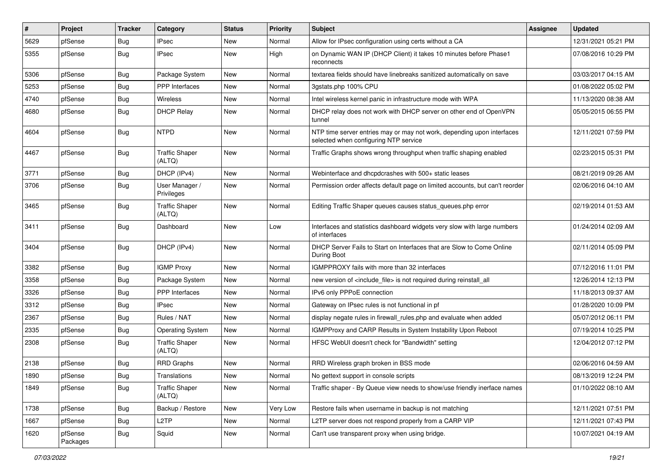| $\vert$ # | Project             | <b>Tracker</b> | Category                        | <b>Status</b> | <b>Priority</b> | Subject                                                                                                         | <b>Assignee</b> | <b>Updated</b>      |
|-----------|---------------------|----------------|---------------------------------|---------------|-----------------|-----------------------------------------------------------------------------------------------------------------|-----------------|---------------------|
| 5629      | pfSense             | Bug            | <b>IPsec</b>                    | New           | Normal          | Allow for IPsec configuration using certs without a CA                                                          |                 | 12/31/2021 05:21 PM |
| 5355      | pfSense             | Bug            | <b>IPsec</b>                    | New           | High            | on Dynamic WAN IP (DHCP Client) it takes 10 minutes before Phase1<br>reconnects                                 |                 | 07/08/2016 10:29 PM |
| 5306      | pfSense             | Bug            | Package System                  | New           | Normal          | textarea fields should have linebreaks sanitized automatically on save                                          |                 | 03/03/2017 04:15 AM |
| 5253      | pfSense             | Bug            | PPP Interfaces                  | New           | Normal          | 3gstats.php 100% CPU                                                                                            |                 | 01/08/2022 05:02 PM |
| 4740      | pfSense             | Bug            | Wireless                        | New           | Normal          | Intel wireless kernel panic in infrastructure mode with WPA                                                     |                 | 11/13/2020 08:38 AM |
| 4680      | pfSense             | Bug            | <b>DHCP Relay</b>               | New           | Normal          | DHCP relay does not work with DHCP server on other end of OpenVPN<br>tunnel                                     |                 | 05/05/2015 06:55 PM |
| 4604      | pfSense             | Bug            | <b>NTPD</b>                     | New           | Normal          | NTP time server entries may or may not work, depending upon interfaces<br>selected when configuring NTP service |                 | 12/11/2021 07:59 PM |
| 4467      | pfSense             | Bug            | <b>Traffic Shaper</b><br>(ALTQ) | New           | Normal          | Traffic Graphs shows wrong throughput when traffic shaping enabled                                              |                 | 02/23/2015 05:31 PM |
| 3771      | pfSense             | Bug            | DHCP (IPv4)                     | New           | Normal          | Webinterface and dhcpdcrashes with 500+ static leases                                                           |                 | 08/21/2019 09:26 AM |
| 3706      | pfSense             | Bug            | User Manager /<br>Privileges    | New           | Normal          | Permission order affects default page on limited accounts, but can't reorder                                    |                 | 02/06/2016 04:10 AM |
| 3465      | pfSense             | Bug            | <b>Traffic Shaper</b><br>(ALTQ) | New           | Normal          | Editing Traffic Shaper queues causes status_queues.php error                                                    |                 | 02/19/2014 01:53 AM |
| 3411      | pfSense             | Bug            | Dashboard                       | New           | Low             | Interfaces and statistics dashboard widgets very slow with large numbers<br>of interfaces                       |                 | 01/24/2014 02:09 AM |
| 3404      | pfSense             | Bug            | DHCP (IPv4)                     | New           | Normal          | DHCP Server Fails to Start on Interfaces that are Slow to Come Online<br>During Boot                            |                 | 02/11/2014 05:09 PM |
| 3382      | pfSense             | Bug            | <b>IGMP Proxy</b>               | <b>New</b>    | Normal          | IGMPPROXY fails with more than 32 interfaces                                                                    |                 | 07/12/2016 11:01 PM |
| 3358      | pfSense             | Bug            | Package System                  | New           | Normal          | new version of <include_file> is not required during reinstall_all</include_file>                               |                 | 12/26/2014 12:13 PM |
| 3326      | pfSense             | Bug            | PPP Interfaces                  | New           | Normal          | IPv6 only PPPoE connection                                                                                      |                 | 11/18/2013 09:37 AM |
| 3312      | pfSense             | Bug            | <b>IPsec</b>                    | New           | Normal          | Gateway on IPsec rules is not functional in pf                                                                  |                 | 01/28/2020 10:09 PM |
| 2367      | pfSense             | Bug            | Rules / NAT                     | New           | Normal          | display negate rules in firewall_rules.php and evaluate when added                                              |                 | 05/07/2012 06:11 PM |
| 2335      | pfSense             | Bug            | <b>Operating System</b>         | New           | Normal          | IGMPProxy and CARP Results in System Instability Upon Reboot                                                    |                 | 07/19/2014 10:25 PM |
| 2308      | pfSense             | <b>Bug</b>     | <b>Traffic Shaper</b><br>(ALTQ) | New           | Normal          | HFSC WebUI doesn't check for "Bandwidth" setting                                                                |                 | 12/04/2012 07:12 PM |
| 2138      | pfSense             | Bug            | <b>RRD Graphs</b>               | New           | Normal          | RRD Wireless graph broken in BSS mode                                                                           |                 | 02/06/2016 04:59 AM |
| 1890      | pfSense             | <b>Bug</b>     | Translations                    | New           | Normal          | No gettext support in console scripts                                                                           |                 | 08/13/2019 12:24 PM |
| 1849      | pfSense             | <b>Bug</b>     | <b>Traffic Shaper</b><br>(ALTQ) | New           | Normal          | Traffic shaper - By Queue view needs to show/use friendly inerface names                                        |                 | 01/10/2022 08:10 AM |
| 1738      | pfSense             | Bug            | Backup / Restore                | New           | Very Low        | Restore fails when username in backup is not matching                                                           |                 | 12/11/2021 07:51 PM |
| 1667      | pfSense             | <b>Bug</b>     | L <sub>2</sub> TP               | New           | Normal          | L2TP server does not respond properly from a CARP VIP                                                           |                 | 12/11/2021 07:43 PM |
| 1620      | pfSense<br>Packages | <b>Bug</b>     | Squid                           | New           | Normal          | Can't use transparent proxy when using bridge.                                                                  |                 | 10/07/2021 04:19 AM |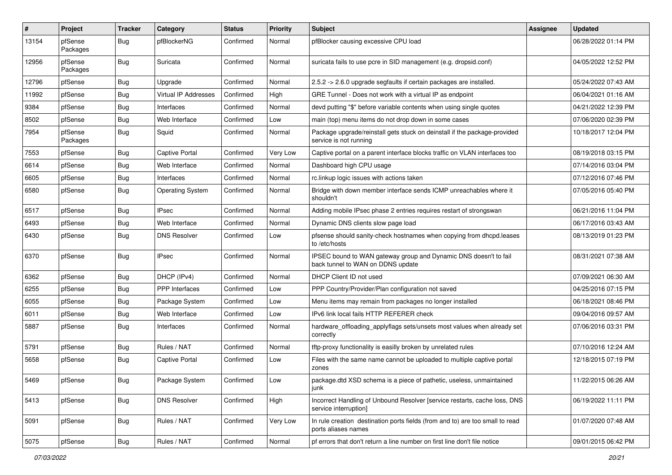| ∦     | Project             | <b>Tracker</b> | Category                | <b>Status</b> | <b>Priority</b> | Subject                                                                                               | <b>Assignee</b> | <b>Updated</b>      |
|-------|---------------------|----------------|-------------------------|---------------|-----------------|-------------------------------------------------------------------------------------------------------|-----------------|---------------------|
| 13154 | pfSense<br>Packages | Bug            | pfBlockerNG             | Confirmed     | Normal          | pfBlocker causing excessive CPU load                                                                  |                 | 06/28/2022 01:14 PM |
| 12956 | pfSense<br>Packages | <b>Bug</b>     | Suricata                | Confirmed     | Normal          | suricata fails to use pcre in SID management (e.g. dropsid.conf)                                      |                 | 04/05/2022 12:52 PM |
| 12796 | pfSense             | <b>Bug</b>     | Upgrade                 | Confirmed     | Normal          | 2.5.2 -> 2.6.0 upgrade segfaults if certain packages are installed.                                   |                 | 05/24/2022 07:43 AM |
| 11992 | pfSense             | <b>Bug</b>     | Virtual IP Addresses    | Confirmed     | High            | GRE Tunnel - Does not work with a virtual IP as endpoint                                              |                 | 06/04/2021 01:16 AM |
| 9384  | pfSense             | Bug            | Interfaces              | Confirmed     | Normal          | devd putting "\$" before variable contents when using single quotes                                   |                 | 04/21/2022 12:39 PM |
| 8502  | pfSense             | <b>Bug</b>     | Web Interface           | Confirmed     | Low             | main (top) menu items do not drop down in some cases                                                  |                 | 07/06/2020 02:39 PM |
| 7954  | pfSense<br>Packages | Bug            | Squid                   | Confirmed     | Normal          | Package upgrade/reinstall gets stuck on deinstall if the package-provided<br>service is not running   |                 | 10/18/2017 12:04 PM |
| 7553  | pfSense             | <b>Bug</b>     | <b>Captive Portal</b>   | Confirmed     | Very Low        | Captive portal on a parent interface blocks traffic on VLAN interfaces too                            |                 | 08/19/2018 03:15 PM |
| 6614  | pfSense             | Bug            | Web Interface           | Confirmed     | Normal          | Dashboard high CPU usage                                                                              |                 | 07/14/2016 03:04 PM |
| 6605  | pfSense             | Bug            | Interfaces              | Confirmed     | Normal          | rc.linkup logic issues with actions taken                                                             |                 | 07/12/2016 07:46 PM |
| 6580  | pfSense             | Bug            | <b>Operating System</b> | Confirmed     | Normal          | Bridge with down member interface sends ICMP unreachables where it<br>shouldn't                       |                 | 07/05/2016 05:40 PM |
| 6517  | pfSense             | <b>Bug</b>     | <b>IPsec</b>            | Confirmed     | Normal          | Adding mobile IPsec phase 2 entries requires restart of strongswan                                    |                 | 06/21/2016 11:04 PM |
| 6493  | pfSense             | <b>Bug</b>     | Web Interface           | Confirmed     | Normal          | Dynamic DNS clients slow page load                                                                    |                 | 06/17/2016 03:43 AM |
| 6430  | pfSense             | Bug            | <b>DNS Resolver</b>     | Confirmed     | Low             | pfsense should sanity-check hostnames when copying from dhcpd.leases<br>to /etc/hosts                 |                 | 08/13/2019 01:23 PM |
| 6370  | pfSense             | <b>Bug</b>     | <b>IPsec</b>            | Confirmed     | Normal          | IPSEC bound to WAN gateway group and Dynamic DNS doesn't to fail<br>back tunnel to WAN on DDNS update |                 | 08/31/2021 07:38 AM |
| 6362  | pfSense             | <b>Bug</b>     | DHCP (IPv4)             | Confirmed     | Normal          | DHCP Client ID not used                                                                               |                 | 07/09/2021 06:30 AM |
| 6255  | pfSense             | Bug            | PPP Interfaces          | Confirmed     | Low             | PPP Country/Provider/Plan configuration not saved                                                     |                 | 04/25/2016 07:15 PM |
| 6055  | pfSense             | <b>Bug</b>     | Package System          | Confirmed     | Low             | Menu items may remain from packages no longer installed                                               |                 | 06/18/2021 08:46 PM |
| 6011  | pfSense             | <b>Bug</b>     | Web Interface           | Confirmed     | Low             | IPv6 link local fails HTTP REFERER check                                                              |                 | 09/04/2016 09:57 AM |
| 5887  | pfSense             | Bug            | Interfaces              | Confirmed     | Normal          | hardware_offloading_applyflags sets/unsets most values when already set<br>correctly                  |                 | 07/06/2016 03:31 PM |
| 5791  | pfSense             | <b>Bug</b>     | Rules / NAT             | Confirmed     | Normal          | tftp-proxy functionality is easilly broken by unrelated rules                                         |                 | 07/10/2016 12:24 AM |
| 5658  | pfSense             | <b>Bug</b>     | <b>Captive Portal</b>   | Confirmed     | Low             | Files with the same name cannot be uploaded to multiple captive portal<br>zones                       |                 | 12/18/2015 07:19 PM |
| 5469  | pfSense             | <b>Bug</b>     | Package System          | Confirmed     | Low             | package.dtd XSD schema is a piece of pathetic, useless, unmaintained<br>junk                          |                 | 11/22/2015 06:26 AM |
| 5413  | pfSense             | <b>Bug</b>     | <b>DNS Resolver</b>     | Confirmed     | High            | Incorrect Handling of Unbound Resolver [service restarts, cache loss, DNS<br>service interruption]    |                 | 06/19/2022 11:11 PM |
| 5091  | pfSense             | <b>Bug</b>     | Rules / NAT             | Confirmed     | Very Low        | In rule creation destination ports fields (from and to) are too small to read<br>ports aliases names  |                 | 01/07/2020 07:48 AM |
| 5075  | pfSense             | Bug            | Rules / NAT             | Confirmed     | Normal          | pf errors that don't return a line number on first line don't file notice                             |                 | 09/01/2015 06:42 PM |